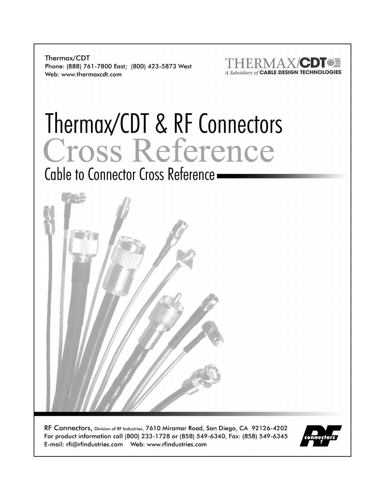Thermax/CDT Phone: (888) 761-7800 East; (800) 423-5873 West Web: www.thermaxcdt.com



# Thermax/CDT & RF Connectors Cross Reference

Cable to Connector Cross Reference -



RF Connectors, Division of RF Industries, 7610 Miramar Road, San Diego, CA 92126-4202 For product information call (800) 233-1728 or (858) 549-6340, Fax: (858) 549-6345 

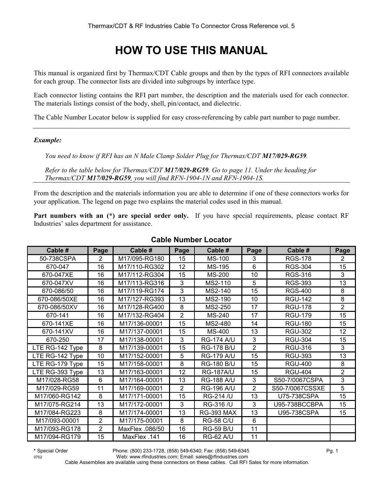# **HOW TO USE THIS MANUAL**

This manual is organized first by Thermax/CDT Cable groups and then by the types of RFI connectors available for each group. The connector lists are divided into subgroups by interface type.

Each connector listing contains the RFI part number, the description and the materials used for each connector. The materials listings consist of the body, shell, pin/contact, and dielectric.

The Cable Number Locator below is supplied for easy cross-referencing by cable part number to page number.

#### *Example:*

*You need to know if RFI has an N Male Clamp Solder Plug for Thermax/CDT M17/029-RG59.* 

*Refer to the table below for Thermax/CDT M17/029-RG59. Go to page 11. Under the heading for Thermax/CDT M17/029-RG59, you will find RFN-1904-1N and RFN-1904-1S.* 

From the description and the materials information you are able to determine if one of these connectors works for your application. The legend on page two explains the material codes used in this manual.

**Part numbers with an (\*) are special order only.** If you have special requirements, please contact RF Industries' sales department for assistance.

| Cable #                             | Page           | Cable #         | Page           | Cable #           | Page           | Cable #         | Page           |
|-------------------------------------|----------------|-----------------|----------------|-------------------|----------------|-----------------|----------------|
| 50-738CSPA                          | $\overline{2}$ | M17/095-RG180   | 15             | <b>MS-100</b>     | 3              | <b>RGS-178</b>  | $\overline{2}$ |
| 670-047                             | 16             | M17/110-RG302   | 12             | <b>MS-195</b>     | 6              | <b>RGS-304</b>  | 15             |
| 670-047XE                           | 16             | M17/112-RG304   | 15             | <b>MS-200</b>     | 10             | <b>RGS-316</b>  | 3              |
| 670-047XV                           | 16             | M17/113-RG316   | 3              | MS2-110           | 5              | <b>RGS-393</b>  | 13             |
| 670-086/50                          | 16             | M17/119-RG174   | 3              | MS2-140           | 15             | <b>RGS-400</b>  | 8              |
| 670-086/50XE                        | 16             | M17/127-RG393   | 13             | MS2-190           | 10             | <b>RGU-142</b>  | 8              |
| 670-086/50XV                        | 16             | M17/128-RG400   | 8              | MS2-250           | 17             | <b>RGU-178</b>  | $\overline{2}$ |
| 670-141                             | 16             | M17/132-RG404   | $\overline{2}$ | <b>MS-240</b>     | 17             | <b>RGU-179</b>  | 15             |
| 670-141XE                           | 16             | M17/136-00001   | 15             | MS2-480           | 14             | <b>RGU-180</b>  | 15             |
| 670-141XV                           | 16             | M17/137-00001   | 15             | <b>MS-400</b>     | 13             | <b>RGU-302</b>  | 12             |
| 670-250                             | 17             | M17/138-00001   | 3              | <b>RG-174 A/U</b> | 3              | <b>RGU-304</b>  | 15             |
| $\overline{\text{LTE}}$ RG-142 Type | 8              | M17/139-00001   | 15             | <b>RG-178 B/U</b> | $\overline{2}$ | <b>RGU-316</b>  | 3              |
| LTE RG-142 Type                     | 10             | M17/152-00001   | 5              | <b>RG-179 A/U</b> | 15             | <b>RGU-393</b>  | 13             |
| LTE RG-179 Type                     | 15             | M17/158-00001   | 8              | <b>RG-180 B/U</b> | 15             | <b>RGU-400</b>  | 8              |
| LTE RG-393 Type                     | 13             | M17/163-00001   | 12             | <b>RG-187A/U</b>  | 15             | <b>RGU-404</b>  | $\overline{2}$ |
| M17/028-RG58                        | 6              | M17/164-00001   | 13             | <b>RG-188 A/U</b> | 3              | S50-7/0067CSPA  | 3              |
| M17/029-RG59                        | 11             | M17/169-00001   | $\overline{2}$ | <b>RG-196 A/U</b> | $\overline{2}$ | S50-7/0067CSSXE | 5              |
| M17/060-RG142                       | 8              | M17/171-00001   | 15             | <b>RG-214 /U</b>  | 13             | U75-738CSPA     | 15             |
| M17/075-RG214                       | 13             | M17/172-00001   | 3              | RG-316 /U         | 3              | U95-738BCCBPA   | 15             |
| M17/084-RG223                       | 8              | M17/174-00001   | 13             | <b>RG-393 MAX</b> | 13             | U95-738CSPA     | 15             |
| M17/093-00001                       | $\overline{2}$ | M17/175-00001   | 8              | <b>RG-58 C/U</b>  | 6              |                 |                |
| M17/093-RG178                       | $\overline{2}$ | MaxFlex .086/50 | 16             | <b>RG-59 B/U</b>  | 11             |                 |                |
| M17/094-RG179                       | 15             | MaxFlex .141    | 16             | <b>RG-62 A/U</b>  | 11             |                 |                |

#### **Cable Number Locator**

**\*** Special Order Phone: (800) 233-1728, (858) 549-6340; Fax: (858) 549-6345 Pg. 1

0702 Web: www.rfindustries.com; Email: sales@rfindustries.com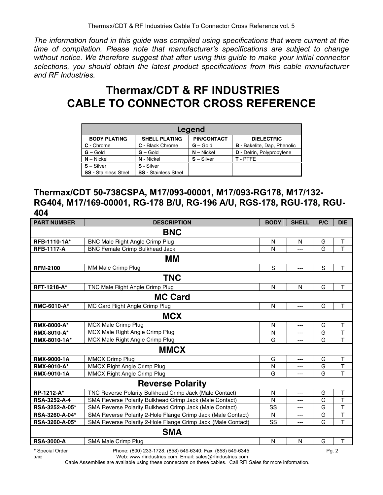*The information found in this guide was compiled using specifications that were current at the time of compilation. Please note that manufacturer's specifications are subject to change without notice. We therefore suggest that after using this guide to make your initial connector selections, you should obtain the latest product specifications from this cable manufacturer and RF Industries.*

## **Thermax/CDT & RF INDUSTRIES CABLE TO CONNECTOR CROSS REFERENCE**

| Legend                      |                             |                    |                                    |  |  |  |  |  |  |
|-----------------------------|-----------------------------|--------------------|------------------------------------|--|--|--|--|--|--|
| <b>BODY PLATING</b>         | <b>SHELL PLATING</b>        | <b>PIN/CONTACT</b> | <b>DIELECTRIC</b>                  |  |  |  |  |  |  |
| C - Chrome                  | C - Black Chrome            | $G -$ Gold         | <b>B</b> - Bakelite, Dap, Phenolic |  |  |  |  |  |  |
| $G - Gold$                  | $G -$ Gold                  | $N -$ Nickel       | <b>D</b> - Delrin, Polypropylene   |  |  |  |  |  |  |
| $N - Nickel$                | N - Nickel                  | $S - Silver$       | T-PTFE                             |  |  |  |  |  |  |
| $S - Silver$                | S - Silver                  |                    |                                    |  |  |  |  |  |  |
| <b>SS - Stainless Steel</b> | <b>SS - Stainless Steel</b> |                    |                                    |  |  |  |  |  |  |

#### **Thermax/CDT 50-738CSPA, M17/093-00001, M17/093-RG178, M17/132- RG404, M17/169-00001, RG-178 B/U, RG-196 A/U, RGS-178, RGU-178, RGU-404**

| <b>PART NUMBER</b>  | <b>DESCRIPTION</b>                                           | <b>BODY</b> | <b>SHELL</b>   | P/C   | <b>DIE</b>              |
|---------------------|--------------------------------------------------------------|-------------|----------------|-------|-------------------------|
|                     | <b>BNC</b>                                                   |             |                |       |                         |
| RFB-1110-1A*        | <b>BNC Male Right Angle Crimp Plug</b>                       | N           | N              | G     | $\top$                  |
| <b>RFB-1117-A</b>   | <b>BNC Female Crimp Bulkhead Jack</b>                        | N           | ---            | G     | T                       |
|                     | MМ                                                           |             |                |       |                         |
| <b>RFM-2100</b>     | MM Male Crimp Plug                                           | $\mathbf S$ | ---            | S     | T                       |
|                     | <b>TNC</b>                                                   |             |                |       |                         |
| <b>RFT-1218-A*</b>  | TNC Male Right Angle Crimp Plug                              | N           | N              | G     | T                       |
|                     | <b>MC Card</b>                                               |             |                |       |                         |
| RMC-6010-A*         | MC Card Right Angle Crimp Plug                               | N           | $\overline{a}$ | G     | T                       |
|                     | <b>MCX</b>                                                   |             |                |       |                         |
| <b>RMX-8000-A*</b>  | <b>MCX Male Crimp Plug</b>                                   | N           | ---            | G     | T                       |
| <b>RMX-8010-A*</b>  | MCX Male Right Angle Crimp Plug                              | N           | ---            | G     | T                       |
| RMX-8010-1A*        | MCX Male Right Angle Crimp Plug                              | G           | ---            | G     | T                       |
|                     | <b>MMCX</b>                                                  |             |                |       |                         |
| <b>RMX-9000-1A</b>  | <b>MMCX Crimp Plug</b>                                       | G           | ---            | G     | T                       |
| RMX-9010-A*         | MMCX Right Angle Crimp Plug                                  | N           | ---            | G     | $\overline{\mathsf{T}}$ |
| <b>RMX-9010-1A</b>  | <b>MMCX Right Angle Crimp Plug</b>                           | G           | ---            | G     | $\mathsf{T}$            |
|                     | <b>Reverse Polarity</b>                                      |             |                |       |                         |
| RP-1212-A*          | TNC Reverse Polarity Bulkhead Crimp Jack (Male Contact)      | N           | ---            | G     | $\sf T$                 |
| <b>RSA-3252-A-4</b> | SMA Reverse Polarity Bulkhead Crimp Jack (Male Contact)      | N           | ---            | G     | $\top$                  |
| RSA-3252-A-05*      | SMA Reverse Polarity Bulkhead Crimp Jack (Male Contact)      | SS          | ---            | G     | $\overline{\mathsf{T}}$ |
| RSA-3260-A-04*      | SMA Reverse Polarity 2-Hole Flange Crimp Jack (Male Contact) | N           | ---            | G     | $\overline{\mathsf{T}}$ |
| RSA-3260-A-05*      | SMA Reverse Polarity 2-Hole Flange Crimp Jack (Male Contact) | SS          | ---            | G     | T                       |
|                     | <b>SMA</b>                                                   |             |                |       |                         |
| <b>RSA-3000-A</b>   | SMA Male Crimp Plug                                          | N           | N              | G     | T                       |
| * Special Order     | Phone: (800) 233-1728, (858) 549-6340; Fax: (858) 549-6345   |             |                | Pq. 2 |                         |

0702 Web: www.rfindustries.com; Email: sales@rfindustries.com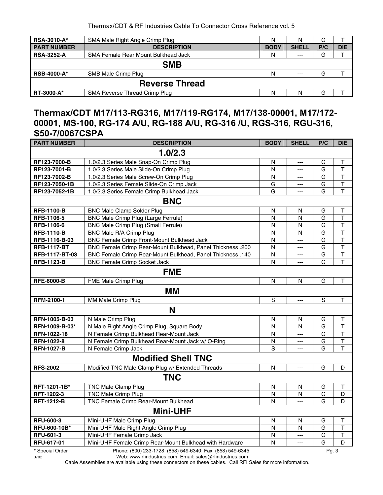| <b>RSA-3010-A*</b> | SMA Male Right Angle Crimp Plug            | N           | N            | G   |            |  |  |
|--------------------|--------------------------------------------|-------------|--------------|-----|------------|--|--|
| <b>PART NUMBER</b> | <b>DESCRIPTION</b>                         | <b>BODY</b> | <b>SHELL</b> | P/C | <b>DIE</b> |  |  |
| <b>RSA-3252-A</b>  | <b>SMA Female Rear Mount Bulkhead Jack</b> | N           | $--$         | G   |            |  |  |
|                    | <b>SMB</b>                                 |             |              |     |            |  |  |
| <b>RSB-4000-A*</b> | SMB Male Crimp Plug                        | N           | $---$        | G   |            |  |  |
|                    | <b>Reverse Thread</b>                      |             |              |     |            |  |  |
| <b>RT-3000-A*</b>  | SMA Reverse Thread Crimp Plug              | N           | N            | G   |            |  |  |

#### **Thermax/CDT M17/113-RG316, M17/119-RG174, M17/138-00001, M17/172- 00001, MS-100, RG-174 A/U, RG-188 A/U, RG-316 /U, RGS-316, RGU-316, S50-7/0067CSPA**

| <b>PART NUMBER</b> | <b>DESCRIPTION</b>                                                                                    | <b>BODY</b> | <b>SHELL</b>   | P/C | <b>DIE</b>              |  |  |  |  |  |
|--------------------|-------------------------------------------------------------------------------------------------------|-------------|----------------|-----|-------------------------|--|--|--|--|--|
|                    | 1.0/2.3                                                                                               |             |                |     |                         |  |  |  |  |  |
| RF123-7000-B       | 1.0/2.3 Series Male Snap-On Crimp Plug                                                                | N           | $---$          | G   | $\top$                  |  |  |  |  |  |
| RF123-7001-B       | 1.0/2.3 Series Male Slide-On Crimp Plug                                                               | N           | ---            | G   | $\mathsf{T}$            |  |  |  |  |  |
| RF123-7002-B       | 1.0/2.3 Series Male Screw-On Crimp Plug                                                               | N           | $---$          | G   | $\overline{\mathsf{T}}$ |  |  |  |  |  |
| RF123-7050-1B      | 1.0/2.3 Series Female Slide-On Crimp Jack                                                             | G           | ---            | G   | $\mathsf T$             |  |  |  |  |  |
| RF123-7052-1B      | 1.0/2.3 Series Female Crimp Bulkhead Jack                                                             | G           | $---$          | G   | $\mathsf T$             |  |  |  |  |  |
|                    | <b>BNC</b>                                                                                            |             |                |     |                         |  |  |  |  |  |
| <b>RFB-1100-B</b>  | <b>BNC Male Clamp Solder Plug</b>                                                                     | N           | ${\sf N}$      | G   | $\sf T$                 |  |  |  |  |  |
| RFB-1106-5         | BNC Male Crimp Plug (Large Ferrule)                                                                   | N           | N              | G   | T                       |  |  |  |  |  |
| RFB-1106-6         | <b>BNC Male Crimp Plug (Small Ferrule)</b>                                                            | N           | N              | G   | $\overline{\mathsf{T}}$ |  |  |  |  |  |
| <b>RFB-1110-B</b>  | BNC Male R/A Crimp Plug                                                                               | N           | N              | G   | $\overline{\mathsf{T}}$ |  |  |  |  |  |
| RFB-1116-B-03      | BNC Female Crimp Front-Mount Bulkhead Jack                                                            | N           | ---            | G   | $\overline{\mathsf{T}}$ |  |  |  |  |  |
| <b>RFB-1117-BT</b> | BNC Female Crimp Rear-Mount Bulkhead, Panel Thickness .200                                            | N           | $\overline{a}$ | G   | $\overline{\mathsf{T}}$ |  |  |  |  |  |
| RFB-1117-BT-03     | BNC Female Crimp Rear-Mount Bulkhead, Panel Thickness .140                                            | N           | ---            | G   | $\overline{\mathsf{T}}$ |  |  |  |  |  |
| <b>RFB-1123-B</b>  | <b>BNC Female Crimp Socket Jack</b>                                                                   | N           | ---            | G   | $\mathsf T$             |  |  |  |  |  |
|                    | <b>FME</b>                                                                                            |             |                |     |                         |  |  |  |  |  |
| <b>RFE-6000-B</b>  | FME Male Crimp Plug                                                                                   | N           | $\mathsf{N}$   | G   | $\mathsf T$             |  |  |  |  |  |
|                    | MМ                                                                                                    |             |                |     |                         |  |  |  |  |  |
| RFM-2100-1         | MM Male Crimp Plug                                                                                    | S           | $\overline{a}$ | S   | $\mathsf T$             |  |  |  |  |  |
|                    | N                                                                                                     |             |                |     |                         |  |  |  |  |  |
| RFN-1005-B-03      | N Male Crimp Plug                                                                                     | N           | N              | G   | Т                       |  |  |  |  |  |
| RFN-1009-B-03*     | N Male Right Angle Crimp Plug, Square Body                                                            | N           | N              | G   | $\mathsf T$             |  |  |  |  |  |
| RFN-1022-18        | N Female Crimp Bulkhead Rear-Mount Jack                                                               | N           | $\overline{a}$ | G   | $\overline{\mathsf{T}}$ |  |  |  |  |  |
| RFN-1022-8         | N Female Crimp Bulkhead Rear-Mount Jack w/ O-Ring                                                     | N           | $\overline{a}$ | G   | $\overline{\mathsf{T}}$ |  |  |  |  |  |
| <b>RFN-1027-B</b>  | N Female Crimp Jack                                                                                   | S           | ---            | G   | $\mathsf T$             |  |  |  |  |  |
|                    | <b>Modified Shell TNC</b>                                                                             |             |                |     |                         |  |  |  |  |  |
| <b>RFS-2002</b>    | Modified TNC Male Clamp Plug w/ Extended Threads                                                      | N           | ---            | G   | D                       |  |  |  |  |  |
|                    | <b>TNC</b>                                                                                            |             |                |     |                         |  |  |  |  |  |
| RFT-1201-1B*       | <b>TNC Male Clamp Plug</b>                                                                            | N           | N              | G   | $\top$                  |  |  |  |  |  |
| RFT-1202-3         | <b>TNC Male Crimp Plug</b>                                                                            | N           | N              | G   | D                       |  |  |  |  |  |
| <b>RFT-1212-B</b>  | <b>TNC Female Crimp Rear-Mount Bulkhead</b>                                                           | N           | $-$            | G   | D                       |  |  |  |  |  |
|                    | <b>Mini-UHF</b>                                                                                       |             |                |     |                         |  |  |  |  |  |
| <b>RFU-600-3</b>   | Mini-UHF Male Crimp Plug                                                                              | N           | N              | G   | $\top$                  |  |  |  |  |  |
| RFU-600-10B*       | Mini-UHF Male Right Angle Crimp Plug                                                                  | N           | N              | G   | $\mathsf{T}$            |  |  |  |  |  |
| RFU-601-3          | Mini-UHF Female Crimp Jack                                                                            | N           | ---            | G   | $\mathsf T$             |  |  |  |  |  |
| RFU-617-01         | Mini-UHF Female Crimp Rear-Mount Bulkhead with Hardware<br>$(0.001, 0.00, 1700, 1070, 710, 0.010, 7)$ | N           | ---            | G   | D                       |  |  |  |  |  |

**\*** Special Order Phone: (800) 233-1728, (858) 549-6340; Fax: (858) 549-6345 Pg. 3

0702 Web: www.rfindustries.com; Email: sales@rfindustries.com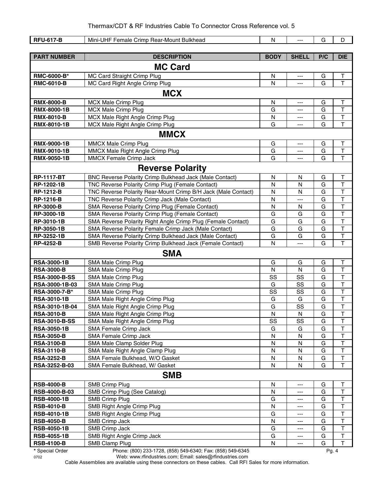| <b>RFU-617-B</b>     | Mini-UHF Female Crimp Rear-Mount Bulkhead                     | N           | ---            | G   | D                       |
|----------------------|---------------------------------------------------------------|-------------|----------------|-----|-------------------------|
|                      |                                                               |             |                |     |                         |
| <b>PART NUMBER</b>   | <b>DESCRIPTION</b>                                            | <b>BODY</b> | <b>SHELL</b>   | P/C | <b>DIE</b>              |
|                      | <b>MC Card</b>                                                |             |                |     |                         |
| RMC-6000-B*          | MC Card Straight Crimp Plug                                   | N           | ---            | G   | $\sf T$                 |
| <b>RMC-6010-B</b>    | MC Card Right Angle Crimp Plug                                | N           | $\overline{a}$ | G   | T                       |
|                      |                                                               |             |                |     |                         |
|                      | <b>MCX</b>                                                    |             |                |     |                         |
| <b>RMX-8000-B</b>    | MCX Male Crimp Plug                                           | ${\sf N}$   | ---            | G   | $\top$                  |
| <b>RMX-8000-1B</b>   | MCX Male Crimp Plug                                           | G           | ---            | G   | $\mathsf T$             |
| <b>RMX-8010-B</b>    | MCX Male Right Angle Crimp Plug                               | N           | ---            | G   | $\mathsf T$             |
| RMX-8010-1B          | MCX Male Right Angle Crimp Plug                               | G           | ---            | G   | $\mathsf{T}$            |
|                      | <b>MMCX</b>                                                   |             |                |     |                         |
| <b>RMX-9000-1B</b>   | MMCX Male Crimp Plug                                          | G           | $---$          | G   | Τ                       |
| RMX-9010-1B          | MMCX Male Right Angle Crimp Plug                              | G           | ---            | G   | $\top$                  |
| <b>RMX-9050-1B</b>   | <b>MMCX Female Crimp Jack</b>                                 | G           | ---            | G   | $\mathsf{T}$            |
|                      | <b>Reverse Polarity</b>                                       |             |                |     |                         |
| <b>RP-1117-BT</b>    | BNC Reverse Polarity Crimp Bulkhead Jack (Male Contact)       | N           | N              | G   | Τ                       |
| RP-1202-1B           | TNC Reverse Polarity Crimp Plug (Female Contact)              | N           | N              | G   | $\mathsf T$             |
| <b>RP-1212-B</b>     | TNC Reverse Polarity Rear-Mount Crimp B/H Jack (Male Contact) | N           | N              | G   | $\mathsf T$             |
| <b>RP-1216-B</b>     | TNC Reverse Polarity Crimp Jack (Male Contact)                | N           | ---            | G   | $\mathsf T$             |
| <b>RP-3000-B</b>     | SMA Reverse Polarity Crimp Plug (Female Contact)              | N           | N              | G   | $\top$                  |
| RP-3000-1B           | SMA Reverse Polarity Crimp Plug (Female Contact)              | G           | G              | G   | $\top$                  |
| RP-3010-1B           | SMA Reverse Polarity Right Angle Crimp Plug (Female Contact)  | G           | G              | G   | $\mathsf T$             |
| RP-3050-1B           | SMA Reverse Polarity Female Crimp Jack (Male Contact)         | G           | G              | G   | $\mathsf T$             |
| RP-3252-1B           | SMA Reverse Polarity Crimp Bulkhead Jack (Male Contact)       | G           | G              | G   | $\overline{T}$          |
| <b>RP-4252-B</b>     | SMB Reverse Polarity Crimp Bulkhead Jack (Female Contact)     | N           | ---            | G   | $\mathsf T$             |
|                      | <b>SMA</b>                                                    |             |                |     |                         |
| <b>RSA-3000-1B</b>   | SMA Male Crimp Plug                                           | G           | G              | G   | $\sf T$                 |
| <b>RSA-3000-B</b>    | SMA Male Crimp Plug                                           | N           | N              | G   | $\overline{\mathsf{T}}$ |
| <b>RSA-3000-B-SS</b> | SMA Male Crimp Plug                                           | SS          | SS             | G   | $\top$                  |
| RSA-3000-1B-03       | SMA Male Crimp Plug                                           | G           | SS             | G   | T                       |
| RSA-3000-7-B*        | SMA Male Crimp Plug                                           | SS          | SS             | G   | $\overline{\mathsf{T}}$ |
| <b>RSA-3010-1B</b>   | SMA Male Right Angle Crimp Plug                               | G           | G              | G   | $\overline{\mathsf{T}}$ |
| RSA-3010-1B-04       | SMA Male Right Angle Crimp Plug                               | G           | SS             | G   | $\overline{\mathsf{T}}$ |
| <b>RSA-3010-B</b>    | SMA Male Right Angle Crimp Plug                               | ${\sf N}$   | N              | G   | $\overline{\mathsf{T}}$ |
| <b>RSA-3010-B-SS</b> | SMA Male Right Angle Crimp Plug                               | SS          | SS             | G   | $\top$                  |
| <b>RSA-3050-1B</b>   | SMA Female Crimp Jack                                         | G           | G              | G   | Т                       |
| <b>RSA-3050-B</b>    | SMA Female Crimp Jack                                         | N           | ${\sf N}$      | G   | $\top$                  |
| <b>RSA-3100-B</b>    | SMA Male Clamp Solder Plug                                    | ${\sf N}$   | N              | G   | $\overline{\mathsf{T}}$ |
| <b>RSA-3110-B</b>    | SMA Male Right Angle Clamp Plug                               | ${\sf N}$   | N              | G   | T                       |
| <b>RSA-3252-B</b>    | SMA Female Bulkhead, W/O Gasket                               | N           | ${\sf N}$      | G   | $\overline{\mathsf{T}}$ |
| RSA-3252-B-03        | SMA Female Bulkhead, W/ Gasket                                | N           | N              | G   | $\overline{1}$          |
|                      | <b>SMB</b>                                                    |             |                |     |                         |
| <b>RSB-4000-B</b>    | SMB Crimp Plug                                                | N           | ---            | G   | Т                       |
| RSB-4000-B-03        | SMB Crimp Plug (See Catalog)                                  | N           | ---            | G   | $\overline{\mathsf{T}}$ |
| <b>RSB-4000-1B</b>   | <b>SMB Crimp Plug</b>                                         | G           | ---            | G   | $\top$                  |
| <b>RSB-4010-B</b>    | SMB Right Angle Crimp Plug                                    | N           | ---            | G   | $\top$                  |
| <b>RSB-4010-1B</b>   | SMB Right Angle Crimp Plug                                    | G           | ---            | G   | $\overline{\mathsf{T}}$ |
| <b>RSB-4050-B</b>    | SMB Crimp Jack                                                | N           | ---            | G   | $\mathsf T$             |
| <b>RSB-4050-1B</b>   | SMB Crimp Jack                                                | G           | ---            | G   | $\top$                  |
| <b>RSB-4055-1B</b>   | SMB Right Angle Crimp Jack                                    | G           | ---            | G   | $\top$                  |
| <b>RSB-4100-B</b>    | SMB Clamp Plug                                                | N           | ---            | G   | $\mathsf T$             |

**\*** Special Order Phone: (800) 233-1728, (858) 549-6340; Fax: (858) 549-6345 Pg. 4

0702 Web: www.rfindustries.com; Email: sales@rfindustries.com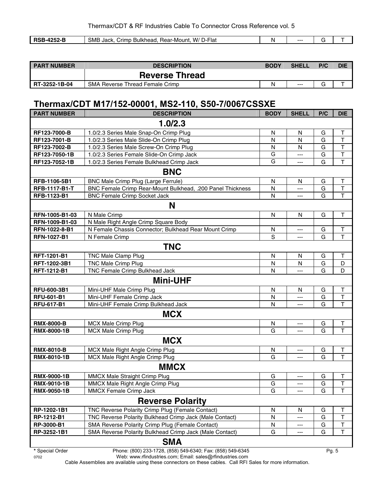| <b>DCF</b><br>----<br>במ<br>- -<br>æ<br>пν<br>. . | SME<br>W/<br>ur-Mour*<br>)-Flaเ<br><b>Rear</b><br>Jack<br>Bulkhead<br>Crimp<br>п. | n. | --- |  |
|---------------------------------------------------|-----------------------------------------------------------------------------------|----|-----|--|

| <b>PART NUMBER</b> | <b>DESCRIPTION</b>                     | <b>BODY</b> | <b>SHELL</b> | P/C | DIE |
|--------------------|----------------------------------------|-------------|--------------|-----|-----|
|                    | <b>Reverse Thread</b>                  |             |              |     |     |
| RT-3252-1B-04      | <b>SMA Reverse Thread Female Crimp</b> | N           | $---$        |     |     |

#### **Thermax/CDT M17/152-00001, MS2-110, S50-7/0067CSSXE**

| <b>PART NUMBER</b>   | <b>DESCRIPTION</b>                                         | <b>BODY</b> | <b>SHELL</b> | P/C | <b>DIE</b>              |  |  |  |
|----------------------|------------------------------------------------------------|-------------|--------------|-----|-------------------------|--|--|--|
| 1.0/2.3              |                                                            |             |              |     |                         |  |  |  |
| RF123-7000-B         | 1.0/2.3 Series Male Snap-On Crimp Plug                     | N           | N            | G   | $\sf T$                 |  |  |  |
| RF123-7001-B         | 1.0/2.3 Series Male Slide-On Crimp Plug                    | N           | N            | G   | $\overline{\mathsf{T}}$ |  |  |  |
| RF123-7002-B         | 1.0/2.3 Series Male Screw-On Crimp Plug                    | N           | N            | G   | $\overline{\mathsf{T}}$ |  |  |  |
| RF123-7050-1B        | 1.0/2.3 Series Female Slide-On Crimp Jack                  | G           | ---          | G   | $\overline{\mathsf{T}}$ |  |  |  |
| RF123-7052-1B        | 1.0/2.3 Series Female Bulkhead Crimp Jack                  | G           | ---          | G   | $\mathsf{T}$            |  |  |  |
|                      | <b>BNC</b>                                                 |             |              |     |                         |  |  |  |
| RFB-1106-5B1         | BNC Male Crimp Plug (Large Ferrule)                        | ${\sf N}$   | N            | G   | T                       |  |  |  |
| <b>RFB-1117-B1-T</b> | BNC Female Crimp Rear-Mount Bulkhead, .200 Panel Thickness | N           | ---          | G   | T                       |  |  |  |
| RFB-1123-B1          | <b>BNC Female Crimp Socket Jack</b>                        | N           | $---$        | G   | $\mathsf{T}$            |  |  |  |
|                      | N                                                          |             |              |     |                         |  |  |  |
| RFN-1005-B1-03       | N Male Crimp                                               | ${\sf N}$   | N            | G   | $\top$                  |  |  |  |
| RFN-1009-B1-03       | N Male Right Angle Crimp Square Body                       |             |              |     |                         |  |  |  |
| RFN-1022-8-B1        | N Female Chassis Connector; Bulkhead Rear Mount Crimp      | N           | ---          | G   | Т                       |  |  |  |
| <b>RFN-1027-B1</b>   | N Female Crimp                                             | $\mathbf S$ | ---          | G   | T                       |  |  |  |
|                      | <b>TNC</b>                                                 |             |              |     |                         |  |  |  |
| RFT-1201-B1          | <b>TNC Male Clamp Plug</b>                                 | N           | N            | G   | $\sf T$                 |  |  |  |
| RFT-1202-3B1         | <b>TNC Male Crimp Plug</b>                                 | N           | N            | G   | D                       |  |  |  |
| RFT-1212-B1          | TNC Female Crimp Bulkhead Jack                             | N           | ---          | G   | D                       |  |  |  |
|                      | <b>Mini-UHF</b>                                            |             |              |     |                         |  |  |  |
| RFU-600-3B1          | Mini-UHF Male Crimp Plug                                   | N           | N            | G   | T                       |  |  |  |
| <b>RFU-601-B1</b>    | Mini-UHF Female Crimp Jack                                 | N           | ---          | G   | T                       |  |  |  |
| <b>RFU-617-B1</b>    | Mini-UHF Female Crimp Bulkhead Jack                        | N           | ---          | G   | $\mathsf{T}$            |  |  |  |
|                      | <b>MCX</b>                                                 |             |              |     |                         |  |  |  |
| <b>RMX-8000-B</b>    | <b>MCX Male Crimp Plug</b>                                 | N           | $---$        | G   | T                       |  |  |  |
| RMX-8000-1B          | <b>MCX Male Crimp Plug</b>                                 | G           | ---          | G   | T                       |  |  |  |
|                      | <b>MCX</b>                                                 |             |              |     |                         |  |  |  |
| <b>RMX-8010-B</b>    | MCX Male Right Angle Crimp Plug                            | N           | $---$        | G   | $\mathsf T$             |  |  |  |
| RMX-8010-1B          | MCX Male Right Angle Crimp Plug                            | G           | ---          | G   | T                       |  |  |  |
|                      | <b>MMCX</b>                                                |             |              |     |                         |  |  |  |
| <b>RMX-9000-1B</b>   | MMCX Male Straight Crimp Plug                              | G           | ---          | G   | Т                       |  |  |  |
| RMX-9010-1B          | MMCX Male Right Angle Crimp Plug                           | G           | ---          | G   | T                       |  |  |  |
| <b>RMX-9050-1B</b>   | MMCX Female Crimp Jack                                     | G           | $---$        | G   | T                       |  |  |  |
|                      | <b>Reverse Polarity</b>                                    |             |              |     |                         |  |  |  |
| RP-1202-1B1          | TNC Reverse Polarity Crimp Plug (Female Contact)           | N           | N            | G   | Τ                       |  |  |  |
| RP-1212-B1           | TNC Reverse Polarity Bulkhead Crimp Jack (Male Contact)    | N           | ---          | G   | Т                       |  |  |  |
| RP-3000-B1           | SMA Reverse Polarity Crimp Plug (Female Contact)           | N           | ---          | G   | $\sf T$                 |  |  |  |
| RP-3252-1B1          | SMA Reverse Polarity Bulkhead Crimp Jack (Male Contact)    | G           | ---          | G   | т                       |  |  |  |
|                      | <b>SMA</b>                                                 |             |              |     |                         |  |  |  |

**\*** Special Order Phone: (800) 233-1728, (858) 549-6340; Fax: (858) 549-6345 Pg. 5

0702 Web: www.rfindustries.com; Email: sales@rfindustries.com Cable Assemblies are available using these connectors on these cables. Call RFI Sales for more information.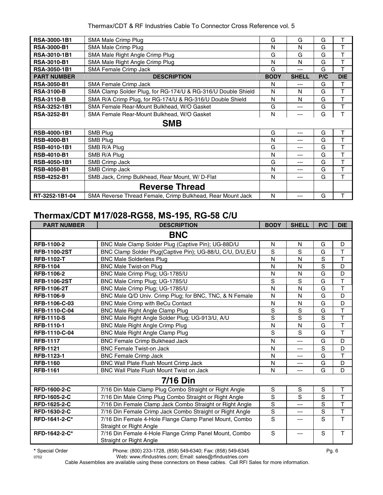| RSA-3000-1B1        | SMA Male Crimp Plug                                          | G           | G            | G   | Τ          |
|---------------------|--------------------------------------------------------------|-------------|--------------|-----|------------|
| <b>RSA-3000-B1</b>  | <b>SMA Male Crimp Plug</b>                                   | N           | N            | G   | T          |
| RSA-3010-1B1        | SMA Male Right Angle Crimp Plug                              | G           | G            | G   | т          |
| <b>RSA-3010-B1</b>  | SMA Male Right Angle Crimp Plug                              | N           | N            | G   | T          |
| <b>RSA-3050-1B1</b> | SMA Female Crimp Jack                                        | G           | ---          | G   | Т          |
| <b>PART NUMBER</b>  | <b>DESCRIPTION</b>                                           | <b>BODY</b> | <b>SHELL</b> | P/C | <b>DIE</b> |
| <b>RSA-3050-B1</b>  | <b>SMA Female Crimp Jack</b>                                 | N           | ---          | G   | Т          |
| <b>RSA-3100-B</b>   | SMA Clamp Solder Plug, for RG-174/U & RG-316/U Double Shield | N           | N            | G   | Τ          |
| <b>RSA-3110-B</b>   | SMA R/A Crimp Plug, for RG-174/U & RG-316/U Double Shield    | N           | N            | G   | T          |
| RSA-3252-1B1        | SMA Female Rear-Mount Bulkhead, W/O Gasket                   | G           | ---          | G   | Τ          |
| <b>RSA-3252-B1</b>  | SMA Female Rear-Mount Bulkhead, W/O Gasket                   | N           | ---          | G   | T          |
|                     | <b>SMB</b>                                                   |             |              |     |            |
| RSB-4000-1B1        | SMB Plug                                                     | G           | ---          | G   | T          |
| <b>RSB-4000-B1</b>  | <b>SMB Plug</b>                                              | N           | ---          | G   | Т          |
| <b>RSB-4010-1B1</b> | SMB R/A Plug                                                 | G           | ---          | G   | Т          |
| <b>RSB-4010-B1</b>  | SMB R/A Plug                                                 | N           | ---          | G   | T          |
| RSB-4050-1B1        | SMB Crimp Jack                                               | G           | ---          | G   | T          |
| <b>RSB-4050-B1</b>  | SMB Crimp Jack                                               | N           | ---          | G   | Т          |
| <b>RSB-4252-B1</b>  | SMB Jack, Crimp Bulkhead, Rear Mount, W/D-Flat               | N           | ---          | G   | т          |
|                     | <b>Reverse Thread</b>                                        |             |              |     |            |
| RT-3252-1B1-04      | SMA Reverse Thread Female, Crimp Bulkhead, Rear Mount Jack   | N           | ---          | G   | Т          |

#### **Thermax/CDT M17/028-RG58, MS-195, RG-58 C/U**

| <b>PART NUMBER</b>  | <b>DESCRIPTION</b>                                                                | <b>BODY</b>    | <b>SHELL</b> | P/C            | <b>DIE</b>              |
|---------------------|-----------------------------------------------------------------------------------|----------------|--------------|----------------|-------------------------|
|                     | <b>BNC</b>                                                                        |                |              |                |                         |
| RFB-1100-2          | BNC Male Clamp Solder Plug (Captive Pin); UG-88D/U                                | N              | N            | G              | D                       |
| <b>RFB-1100-2ST</b> | BNC Clamp Solder Plug(Captive Pin); UG-88/U, C/U, D/U, E/U                        | S              | S            | G              | T                       |
| <b>RFB-1102-T</b>   | <b>BNC Male Solderless Plug</b>                                                   | N              | N            | $\overline{s}$ | $\overline{\mathsf{T}}$ |
| <b>RFB-1104</b>     | <b>BNC Male Twist-on Plug</b>                                                     | N              | N            | $\overline{s}$ | D                       |
| RFB-1106-2          | BNC Male Crimp Plug; UG-1785/U                                                    | N              | N            | G              | D                       |
| <b>RFB-1106-2ST</b> | BNC Male Crimp Plug; UG-1785/U                                                    | S              | S            | G              | T                       |
| <b>RFB-1106-2T</b>  | BNC Male Crimp Plug; UG-1785/U                                                    | $\mathsf{N}$   | N            | G              | $\top$                  |
| RFB-1106-9          | BNC Male Q/D Univ. Crimp Plug; for BNC, TNC, & N Female                           | N              | N            | G              | D                       |
| RFB-1106-C-03       | <b>BNC Male Crimp with BeCu Contact</b>                                           | N              | N            | G              | D                       |
| RFB-1110-C-04       | <b>BNC Male Right Angle Clamp Plug</b>                                            | S              | S            | G              | T                       |
| <b>RFB-1110-S</b>   | BNC Male Right Angle Solder Plug; UG-913/U, A/U                                   | S              | S            | S              | T                       |
| RFB-1110-1          | BNC Male Right Angle Crimp Plug                                                   | N              | N            | G              | $\top$                  |
| RFB-1110-C-04       | BNC Male Right Angle Clamp Plug                                                   | S              | S            | G              | $\overline{\mathsf{T}}$ |
| <b>RFB-1117</b>     | <b>BNC Female Crimp Bulkhead Jack</b>                                             | N              | ---          | G              | D                       |
| <b>RFB-1121</b>     | <b>BNC Female Twist-on Jack</b>                                                   | N              | ---          | S              | D                       |
| RFB-1123-1          | <b>BNC Female Crimp Jack</b>                                                      | N              | ---          | G              | T                       |
| <b>RFB-1160</b>     | BNC Wall Plate Flush Mount Crimp Jack                                             | N              | ---          | G              | D                       |
| <b>RFB-1161</b>     | <b>BNC Wall Plate Flush Mount Twist on Jack</b>                                   | N              | ---          | G              | D                       |
|                     | <b>7/16 Din</b>                                                                   |                |              |                |                         |
| RFD-1600-2-C        | 7/16 Din Male Clamp Plug Combo Straight or Right Angle                            | S              | S            | S              | $\mathsf{T}$            |
| <b>RFD-1605-2-C</b> | 7/16 Din Male Crimp Plug Combo Straight or Right Angle                            | S              | S            | S              | T                       |
| RFD-1625-2-C        | 7/16 Din Female Clamp Jack Combo Straight or Right Angle                          | S              | ---          | S              | $\overline{\mathsf{T}}$ |
| RFD-1630-2-C        | 7/16 Din Female Crimp Jack Combo Straight or Right Angle                          | $\overline{s}$ | ---          | $\overline{s}$ | $\overline{\mathsf{T}}$ |
| RFD-1641-2-C*       | 7/16 Din Female 4-Hole Flange Clamp Panel Mount, Combo<br>Straight or Right Angle | S              | ---          | $\overline{s}$ | $\overline{\mathsf{T}}$ |
| RFD-1642-2-C*       | 7/16 Din Female 4-Hole Flange Crimp Panel Mount, Combo<br>Straight or Right Angle | S              | ---          | S              | $\mathsf{T}$            |

**\*** Special Order Phone: (800) 233-1728, (858) 549-6340; Fax: (858) 549-6345 Pg. 6

0702 Web: www.rfindustries.com; Email: sales@rfindustries.com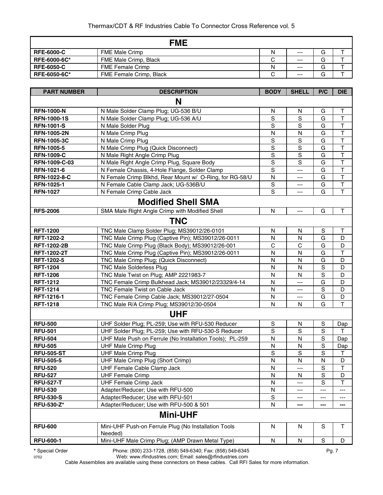|                     | <b>FME</b>              |        |       |   |  |
|---------------------|-------------------------|--------|-------|---|--|
| <b>RFE-6000-C</b>   | <b>FME Male Crimp</b>   | N      | $--$  | G |  |
| <b>RFE-6000-6C*</b> | FME Male Crimp, Black   | ⌒<br>U | $---$ | G |  |
| <b>RFE-6050-C</b>   | <b>FME Female Crimp</b> | N      | $---$ | G |  |
| <b>RFE-6050-6C*</b> | FME Female Crimp, Black | ⌒<br>ັ | $---$ | G |  |

| <b>PART NUMBER</b> | <b>DESCRIPTION</b>                                              | <b>BODY</b>    | <b>SHELL</b> | P/C         | <b>DIE</b>              |  |  |  |
|--------------------|-----------------------------------------------------------------|----------------|--------------|-------------|-------------------------|--|--|--|
| N                  |                                                                 |                |              |             |                         |  |  |  |
| <b>RFN-1000-N</b>  | N Male Solder Clamp Plug; UG-536 B/U                            | N              | N            | G           | Τ                       |  |  |  |
| <b>RFN-1000-1S</b> | N Male Solder Clamp Plug; UG-536 A/U                            | S              | S            | G           | $\mathsf{T}$            |  |  |  |
| <b>RFN-1001-S</b>  | N Male Solder Plug                                              | S              | S            | G           | $\top$                  |  |  |  |
| <b>RFN-1005-2N</b> | N Male Crimp Plug                                               | N              | N            | G           | $\mathsf T$             |  |  |  |
| <b>RFN-1005-3C</b> | N Male Crimp Plug                                               | $\mathbf S$    | $\mathbf S$  | G           | $\mathsf T$             |  |  |  |
| <b>RFN-1005-5</b>  | N Male Crimp Plug (Quick Disconnect)                            | $\mathbf S$    | $\mathbf S$  | G           | $\top$                  |  |  |  |
| <b>RFN-1009-C</b>  | N Male Right Angle Crimp Plug                                   | $\mathbf S$    | $\mathbf S$  | G           | $\top$                  |  |  |  |
| RFN-1009-C-03      | N Male Right Angle Crimp Plug, Square Body                      | S              | S            | G           | $\overline{\mathsf{T}}$ |  |  |  |
| <b>RFN-1021-6</b>  | N Female Chassis, 4-Hole Flange, Solder Clamp                   | $\overline{s}$ | ---          | G           | $\overline{\mathsf{T}}$ |  |  |  |
| RFN-1022-8-C       | N Female Crimp Blkhd, Rear Mount w/ O-Ring, for RG-58/U         | $\mathsf{N}$   | ---          | G           | $\mathsf T$             |  |  |  |
| RFN-1025-1         | N Female Cable Clamp Jack; UG-536B/U                            | $\mathbf S$    | ---          | G           | $\top$                  |  |  |  |
| <b>RFN-1027</b>    | N Female Crimp Cable Jack                                       | S              | ---          | G           | $\mathsf T$             |  |  |  |
|                    | <b>Modified Shell SMA</b>                                       |                |              |             |                         |  |  |  |
| <b>RFS-2006</b>    | SMA Male Right Angle Crimp with Modified Shell                  | N              | ---          | G           | $\mathsf T$             |  |  |  |
|                    | <b>TNC</b>                                                      |                |              |             |                         |  |  |  |
| <b>RFT-1200</b>    | TNC Male Clamp Solder Plug; MS39012/26-0101                     | N              | N            | S           | Т                       |  |  |  |
| RFT-1202-2         | TNC Male Crimp Plug (Captive Pin); MS39012/26-0011              | N              | N            | G           | D                       |  |  |  |
| <b>RFT-1202-2B</b> | TNC Male Crimp Plug (Black Body); MS39012/26-001                | С              | С            | G           | D                       |  |  |  |
| <b>RFT-1202-2T</b> | TNC Male Crimp Plug (Captive Pin); MS39012/26-0011              | N              | N            | G           | $\mathsf T$             |  |  |  |
| RFT-1202-5         | TNC Male Crimp Plug; (Quick Disconnect)                         | N              | N            | G           | D                       |  |  |  |
| <b>RFT-1204</b>    | <b>TNC Male Solderless Plug</b>                                 | N              | Ν            | S           | D                       |  |  |  |
| <b>RFT-1206</b>    | TNC Male Twist on Plug; AMP 2221983-7                           | N              | N            | $\mathbf S$ | D                       |  |  |  |
| <b>RFT-1212</b>    | TNC Female Crimp Bulkhead Jack; MS39012/23329/4-14              | N              | ---          | G           | D                       |  |  |  |
| <b>RFT-1214</b>    | TNC Female Twist on Cable Jack                                  | $\mathsf{N}$   | ---          | $\mathbf S$ | D                       |  |  |  |
| RFT-1216-1         | TNC Female Crimp Cable Jack; MS39012/27-0504                    | N              | ---          | G           | D                       |  |  |  |
| <b>RFT-1218</b>    | TNC Male R/A Crimp Plug; MS39012/30-0504                        | N              | N            | G           | T                       |  |  |  |
|                    | <b>UHF</b>                                                      |                |              |             |                         |  |  |  |
| <b>RFU-500</b>     | UHF Solder Plug; PL-259; Use with RFU-530 Reducer               | S              | N            | $\mathbf S$ | Dap                     |  |  |  |
| <b>RFU-501</b>     | UHF Solder Plug; PL-259; Use with RFU-530-S Reducer             | S              | S            | S           | Τ                       |  |  |  |
| <b>RFU-504</b>     | UHF Male Push on Ferrule (No Installation Tools); PL-259        | $\mathsf{N}$   | N            | $\mathbf S$ | Dap                     |  |  |  |
| <b>RFU-505</b>     | <b>UHF Male Crimp Plug</b>                                      | N              | N            | $\mathbf S$ | Dap                     |  |  |  |
| <b>RFU-505-ST</b>  | <b>UHF Male Crimp Plug</b>                                      | S              | S            | $\mathsf S$ | $\mathsf T$             |  |  |  |
| <b>RFU-505-5</b>   | UHF Male Crimp Plug (Short Crimp)                               | N              | N            | N           | D                       |  |  |  |
| <b>RFU-520</b>     | UHF Female Cable Clamp Jack                                     | N              | ---          | $\mathbf S$ | $\overline{\mathsf{T}}$ |  |  |  |
| <b>RFU-527</b>     | <b>UHF Female Crimp</b>                                         | N              | N            | S           | D                       |  |  |  |
| <b>RFU-527-T</b>   | <b>UHF Female Crimp Jack</b>                                    | N              |              | S           | Τ                       |  |  |  |
| <b>RFU-530</b>     | Adapter/Reducer; Use with RFU-500                               | N              | ---          | ---         | ---                     |  |  |  |
| <b>RFU-530-S</b>   | Adapter/Reducer; Use with RFU-501                               | $\mathbf S$    | ---          | ---         | ---                     |  |  |  |
| <b>RFU-530-Z*</b>  | Adapter/Reducer; Use with RFU-500 & 501                         | N              | ---          |             | ---                     |  |  |  |
|                    | <b>Mini-UHF</b>                                                 |                |              |             |                         |  |  |  |
| <b>RFU-600</b>     | Mini-UHF Push-on Ferrule Plug (No Installation Tools<br>Needed) | N              | N            | $\mathbf S$ | $\mathsf{T}$            |  |  |  |
| <b>RFU-600-1</b>   | Mini-UHF Male Crimp Plug; (AMP Drawn Metal Type)                | N              | ${\sf N}$    | $\mathbb S$ | D                       |  |  |  |

**\*** Special Order Phone: (800) 233-1728, (858) 549-6340; Fax: (858) 549-6345 Pg. 7

0702 Web: www.rfindustries.com; Email: sales@rfindustries.com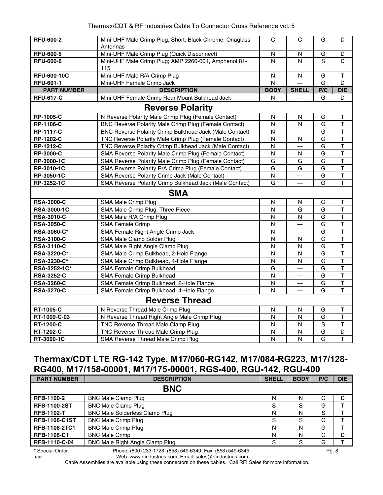| <b>RFU-600-2</b>   | Mini-UHF Male Crimp Plug, Short, Black Chrome; Onaglass<br>Antennas | $\mathbf C$             | C              | G   | D                       |
|--------------------|---------------------------------------------------------------------|-------------------------|----------------|-----|-------------------------|
| <b>RFU-600-5</b>   | Mini-UHF Male Crimp Plug (Quick Disconnect)                         | N                       | N              | G   | D                       |
| <b>RFU-600-6</b>   | Mini-UHF Male Crimp Plug; AMP 2266-001, Amphenol 81-<br>115         | N                       | N              | S   | D                       |
| <b>RFU-600-10C</b> | Mini-UHF Male R/A Crimp Plug                                        | $\mathsf{N}$            | N              | G   | Т                       |
| <b>RFU-601-1</b>   | Mini-UHF Female Crimp Jack                                          | $\overline{N}$          |                | G   | D                       |
| <b>PART NUMBER</b> | <b>DESCRIPTION</b>                                                  | <b>BODY</b>             | <b>SHELL</b>   | P/C | <b>DIE</b>              |
| <b>RFU-617-C</b>   | Mini-UHF Female Crimp Rear Mount Bulkhead Jack                      | N                       | $\overline{a}$ | G   | D                       |
|                    | <b>Reverse Polarity</b>                                             |                         |                |     |                         |
| <b>RP-1005-C</b>   | N Reverse Polarity Male Crimp Plug (Female Contact)                 | N                       | N              | G   | T                       |
| <b>RP-1106-C</b>   | BNC Reverse Polarity Male Crimp Plug (Female Contact)               | $\mathsf{N}$            | N              | G   | $\overline{\mathsf{T}}$ |
| <b>RP-1117-C</b>   | BNC Reverse Polarity Crimp Bulkhead Jack (Male Contact)             | N                       | ---            | G   | $\overline{\mathsf{T}}$ |
| <b>RP-1202-C</b>   | TNC Reverse Polarity Male Crimp Plug (Female Contact)               | N                       | N              | G   | $\mathsf T$             |
| <b>RP-1212-C</b>   | TNC Reverse Polarity Crimp Bulkhead Jack (Male Contact)             | N                       | $\overline{a}$ | G   | $\top$                  |
| <b>RP-3000-C</b>   | SMA Reverse Polarity Male Crimp Plug (Female Contact)               | $\mathsf{N}$            | N              | G   | T                       |
| RP-3000-1C         | SMA Reverse Polarity Male Crimp Plug (Female Contact)               | G                       | G              | G   | $\overline{\mathsf{T}}$ |
| RP-3010-1C         | SMA Reverse Polarity R/A Crimp Plug (Female Contact)                | G                       | G              | G   | $\overline{\mathsf{T}}$ |
| RP-3050-1C         | SMA Reverse Polarity Crimp Jack (Male Contact)                      | $\overline{\mathsf{N}}$ | $\overline{a}$ | G   | T                       |
| RP-3252-1C         | SMA Reverse Polarity Crimp Bulkhead Jack (Male Contact)             | G                       | ---            | G   | $\overline{\mathsf{T}}$ |
|                    | <b>SMA</b>                                                          |                         |                |     |                         |
| <b>RSA-3000-C</b>  | SMA Male Crimp Plug                                                 | N                       | N              | G   | Τ                       |
| <b>RSA-3000-1C</b> | SMA Male Crimp Plug, Three Piece                                    | N                       | G              | G   | $\mathsf T$             |
| <b>RSA-3010-C</b>  | SMA Male R/A Crimp Plug                                             | N                       | N              | G   | T                       |
| <b>RSA-3050-C</b>  | <b>SMA Female Crimp</b>                                             | N                       | ---            | G   | $\overline{\mathsf{T}}$ |
| RSA-3060-C*        | SMA Female Right Angle Crimp Jack                                   | N                       | $---$          | G   | $\overline{\mathsf{T}}$ |
| <b>RSA-3100-C</b>  | SMA Male Clamp Solder Plug                                          | N                       | N              | G   | $\overline{\mathsf{T}}$ |
| <b>RSA-3110-C</b>  | SMA Male Right Angle Clamp Plug                                     | $\mathsf{N}$            | N              | G   | $\overline{\mathsf{T}}$ |
| RSA-3220-C*        | SMA Male Crimp Bulkhead, 2-Hole Flange                              | N                       | N              | G   | $\top$                  |
| RSA-3230-C*        | SMA Male Crimp Bulkhead, 4-Hole Flange                              | N                       | N              | G   | T                       |
| RSA-3252-1C*       | SMA Female Crimp Bulkhead                                           | G                       | $\overline{a}$ | G   | T                       |
| <b>RSA-3252-C</b>  | SMA Female Crimp Bulkhead                                           | $\mathsf{N}$            | $\overline{a}$ | G   | T                       |
| <b>RSA-3260-C</b>  | SMA Female Crimp Bulkhead, 2-Hole Flange                            | ${\sf N}$               | ---            | G   | $\mathsf T$             |
| <b>RSA-3270-C</b>  | SMA Female Crimp Bulkhead, 4-Hole Flange                            | N                       | ---            | G   | $\overline{\mathsf{T}}$ |
|                    | <b>Reverse Thread</b>                                               |                         |                |     |                         |
| <b>RT-1005-C</b>   | N Reverse Thread Male Crimp Plug                                    | $\mathsf{N}$            | $\mathsf{N}$   | G   | Т                       |
| RT-1009-C-03       | N Reverse Thread Right Angle Male Crimp Plug                        | N                       | N              | G   | T                       |
| <b>RT-1200-C</b>   | TNC Reverse Thread Male Clamp Plug                                  | $\mathsf{N}$            | $\mathsf{N}$   | S   | $\mathsf T$             |
| RT-1202-C          | TNC Reverse Thread Male Crimp Plug                                  | N                       | N              | G   | D                       |
| RT-3000-1C         | SMA Reverse Thread Male Crimp Plug                                  | N                       | N              | G   | $\top$                  |

#### **Thermax/CDT LTE RG-142 Type, M17/060-RG142, M17/084-RG223, M17/128- RG400, M17/158-00001, M17/175-00001, RGS-400, RGU-142, RGU-400**

| <b>PART NUMBER</b>   | <b>DESCRIPTION</b>                     | <b>SHELL</b> | <b>BODY</b> | P/C | <b>DIE</b> |
|----------------------|----------------------------------------|--------------|-------------|-----|------------|
|                      | <b>BNC</b>                             |              |             |     |            |
| <b>RFB-1100-2</b>    | <b>BNC Male Clamp Plug</b>             | N            | N           | G   | D          |
| <b>RFB-1100-2ST</b>  | <b>BNC Male Clamp Plug</b>             | S            | c<br>ञ      | G   |            |
| <b>RFB-1102-T</b>    | <b>BNC Male Solderless Clamp Plug</b>  | N            | N           | S   |            |
| <b>RFB-1106-C1ST</b> | <b>BNC Male Crimp Plug</b>             | S            | S           | G   |            |
| <b>RFB-1106-2TC1</b> | <b>BNC Male Crimp Plug</b>             | N            | N           | G   |            |
| <b>RFB-1106-C1</b>   | <b>BNC Male Crimp</b>                  | N            | N           | G   | D          |
| RFB-1110-C-04        | <b>BNC Male Right Angle Clamp Plug</b> | S            | S           | G   |            |

**\*** Special Order Phone: (800) 233-1728, (858) 549-6340; Fax: (858) 549-6345 Pg. 8

0702 Web: www.rfindustries.com; Email: sales@rfindustries.com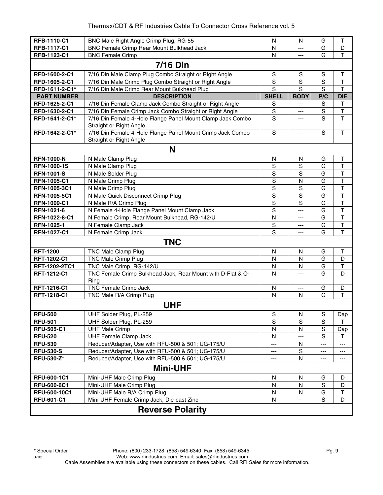| RFB-1110-C1             | BNC Male Right Angle Crimp Plug, RG-55                                                | N              | N              | G             | T                       |  |  |  |
|-------------------------|---------------------------------------------------------------------------------------|----------------|----------------|---------------|-------------------------|--|--|--|
| RFB-1117-C1             | <b>BNC Female Crimp Rear Mount Bulkhead Jack</b>                                      | N              | ---            | G             | D                       |  |  |  |
| RFB-1123-C1             | <b>BNC</b> Female Crimp                                                               | $\mathsf{N}$   | ---            | G             | $\mathsf T$             |  |  |  |
| <b>7/16 Din</b>         |                                                                                       |                |                |               |                         |  |  |  |
| RFD-1600-2-C1           | 7/16 Din Male Clamp Plug Combo Straight or Right Angle                                | ${\mathsf S}$  | $\mathbf S$    | S             | Τ                       |  |  |  |
| RFD-1605-2-C1           | 7/16 Din Male Crimp Plug Combo Straight or Right Angle                                | $\mathbf S$    | $\overline{s}$ | S             | $\top$                  |  |  |  |
| RFD-1611-2-C1*          | 7/16 Din Male Crimp Rear Mount Bulkhead Plug                                          | S              | S              | S             | $\top$                  |  |  |  |
| <b>PART NUMBER</b>      | <b>DESCRIPTION</b>                                                                    | <b>SHELL</b>   | <b>BODY</b>    | P/C           | <b>DIE</b>              |  |  |  |
| RFD-1625-2-C1           | 7/16 Din Female Clamp Jack Combo Straight or Right Angle                              | $\mathbf S$    | ---            | ${\mathsf S}$ | $\mathsf T$             |  |  |  |
| RFD-1630-2-C1           | 7/16 Din Female Crimp Jack Combo Straight or Right Angle                              | $\mathbb S$    | ---            | S             | $\mathsf T$             |  |  |  |
| RFD-1641-2-C1*          | 7/16 Din Female 4-Hole Flange Panel Mount Clamp Jack Combo<br>Straight or Right Angle | S              | ---            | S             | $\mathsf{T}$            |  |  |  |
| RFD-1642-2-C1*          | 7/16 Din Female 4-Hole Flange Panel Mount Crimp Jack Combo<br>Straight or Right Angle | $\mathbf S$    | ---            | S             | $\mathsf T$             |  |  |  |
|                         | N                                                                                     |                |                |               |                         |  |  |  |
| <b>RFN-1000-N</b>       | N Male Clamp Plug                                                                     | N              | N              | G             | Τ                       |  |  |  |
| <b>RFN-1000-1S</b>      | N Male Clamp Plug                                                                     | $\mathbf S$    | S              | G             | $\top$                  |  |  |  |
| <b>RFN-1001-S</b>       | N Male Solder Plug                                                                    | $\mathbf S$    | S              | G             | T                       |  |  |  |
| <b>RFN-1005-C1</b>      | N Male Crimp Plug                                                                     | $\mathbf S$    | N              | G             | $\overline{\mathsf{T}}$ |  |  |  |
| RFN-1005-3C1            | N Male Crimp Plug                                                                     | $\overline{s}$ | S              | G             | $\overline{\mathsf{T}}$ |  |  |  |
| RFN-1005-5C1            | N Male Quick Disconnect Crimp Plug                                                    | $\overline{s}$ | $\overline{s}$ | G             | $\overline{\mathsf{T}}$ |  |  |  |
| <b>RFN-1009-C1</b>      | N Male R/A Crimp Plug                                                                 | $\overline{s}$ | S              | G             | $\overline{\mathsf{T}}$ |  |  |  |
| RFN-1021-6              | N Female 4-Hole Flange Panel Mount Clamp Jack                                         | $\overline{s}$ | ---            | G             | $\overline{\mathsf{T}}$ |  |  |  |
| RFN-1022-8-C1           | N Female Crimp, Rear Mount Bulkhead, RG-142/U                                         | N              | ---            | G             | T                       |  |  |  |
| RFN-1025-1              | N Female Clamp Jack                                                                   | ${\mathsf S}$  | $---$          | G             | $\mathsf T$             |  |  |  |
| <b>RFN-1027-C1</b>      | N Female Crimp Jack                                                                   | $\overline{s}$ | ---            | G             | $\overline{\mathsf{T}}$ |  |  |  |
|                         | <b>TNC</b>                                                                            |                |                |               |                         |  |  |  |
| <b>RFT-1200</b>         | TNC Male Clamp Plug                                                                   | N              | N              | G             | Τ                       |  |  |  |
| RFT-1202-C1             | <b>TNC Male Crimp Plug</b>                                                            | N              | N              | G             | D                       |  |  |  |
| RFT-1202-2TC1           | TNC Male Crimp, RG-142/U                                                              | N              | N              | G             | T                       |  |  |  |
| RFT-1212-C1             | TNC Female Crimp Bulkhead Jack, Rear Mount with D-Flat & O-<br>Ring                   | N              | ---            | G             | D                       |  |  |  |
| RFT-1216-C1             | <b>TNC Female Crimp Jack</b>                                                          | N              | $---$          | G             | D                       |  |  |  |
| RFT-1218-C1             | TNC Male R/A Crimp Plug                                                               | $\mathsf{N}$   | N              | G             | T                       |  |  |  |
|                         | <b>UHF</b>                                                                            |                |                |               |                         |  |  |  |
| <b>RFU-500</b>          | UHF Solder Plug, PL-259                                                               | $\mathsf S$    | N              | $\mathbf S$   | Dap                     |  |  |  |
| <b>RFU-501</b>          | UHF Solder Plug, PL-259                                                               | S              | S              | S             | т                       |  |  |  |
| <b>RFU-505-C1</b>       | <b>UHF Male Crimp</b>                                                                 | N              | N              | S             | Dap                     |  |  |  |
| <b>RFU-520</b>          | <b>UHF Female Clamp Jack</b>                                                          | N              | ---            | S             | $\mathsf{T}$            |  |  |  |
| <b>RFU-530</b>          | Reducer/Adapter, Use with RFU-500 & 501; UG-175/U                                     | ---            | N              | ---           | ---                     |  |  |  |
| <b>RFU-530-S</b>        | Reducer/Adapter, Use with RFU-500 & 501; UG-175/U                                     | ---            | S              | ---           | ---                     |  |  |  |
| <b>RFU-530-Z*</b>       | Reducer/Adapter, Use with RFU-500 & 501; UG-175/U                                     | ---            | N              | ---           | ---                     |  |  |  |
|                         | <b>Mini-UHF</b>                                                                       |                |                |               |                         |  |  |  |
| <b>RFU-600-1C1</b>      | Mini-UHF Male Crimp Plug                                                              | ${\sf N}$      | N              | G             | D                       |  |  |  |
| <b>RFU-600-6C1</b>      | Mini-UHF Male Crimp Plug                                                              | N              | N              | $\mathbf S$   | D                       |  |  |  |
| RFU-600-10C1            | Mini-UHF Male R/A Crimp Plug                                                          | N              | N              | G             | Τ                       |  |  |  |
| <b>RFU-601-C1</b>       | Mini-UHF Female Crimp Jack, Die-cast Zinc                                             | N              | ---            | S             | D                       |  |  |  |
| <b>Reverse Polarity</b> |                                                                                       |                |                |               |                         |  |  |  |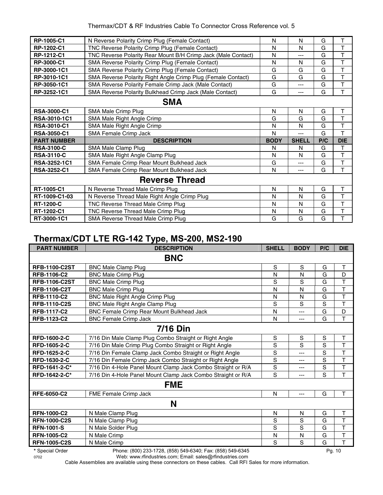| RP-1005-C1          | N Reverse Polarity Crimp Plug (Female Contact)                | N           | N            | G   | т              |  |  |  |
|---------------------|---------------------------------------------------------------|-------------|--------------|-----|----------------|--|--|--|
| RP-1202-C1          | TNC Reverse Polarity Crimp Plug (Female Contact)              | N           | N            | G   | T              |  |  |  |
| RP-1212-C1          | TNC Reverse Polarity Rear Mount B/H Crimp Jack (Male Contact) | N           | ---          | G   | T              |  |  |  |
| RP-3000-C1          | SMA Reverse Polarity Crimp Plug (Female Contact)              | N           | N            | G   | T              |  |  |  |
| RP-3000-1C1         | SMA Reverse Polarity Crimp Plug (Female Contact)              | G           | G            | G   | T              |  |  |  |
| RP-3010-1C1         | SMA Reverse Polarity Right Angle Crimp Plug (Female Contact)  | G           | G            | G   | $\overline{T}$ |  |  |  |
| RP-3050-1C1         | SMA Reverse Polarity Female Crimp Jack (Male Contact)         | G           | ---          | G   | T              |  |  |  |
| RP-3252-1C1         | SMA Reverse Polarity Bulkhead Crimp Jack (Male Contact)       | G           | ---          | G   | T              |  |  |  |
|                     | <b>SMA</b>                                                    |             |              |     |                |  |  |  |
| <b>RSA-3000-C1</b>  | SMA Male Crimp Plug                                           | N           | N            | G   | T              |  |  |  |
| RSA-3010-1C1        | SMA Male Right Angle Crimp                                    | G           | G            | G   | T              |  |  |  |
| <b>RSA-3010-C1</b>  | SMA Male Right Angle Crimp                                    | N           | N            | G   | $\top$         |  |  |  |
|                     |                                                               |             |              |     |                |  |  |  |
| <b>RSA-3050-C1</b>  | SMA Female Crimp Jack                                         | N           | $---$        | G   | T              |  |  |  |
| <b>PART NUMBER</b>  | <b>DESCRIPTION</b>                                            | <b>BODY</b> | <b>SHELL</b> | P/C | <b>DIE</b>     |  |  |  |
| <b>RSA-3100-C</b>   | SMA Male Clamp Plug                                           | N           | N            | G   | Τ              |  |  |  |
| <b>RSA-3110-C</b>   | SMA Male Right Angle Clamp Plug                               | N           | N            | G   | T              |  |  |  |
| <b>RSA-3252-1C1</b> | SMA Female Crimp Rear Mount Bulkhead Jack                     | G           | ---          | G   | T              |  |  |  |
| <b>RSA-3252-C1</b>  | SMA Female Crimp Rear Mount Bulkhead Jack                     | N           | ---          | G   | T              |  |  |  |
|                     | <b>Reverse Thread</b>                                         |             |              |     |                |  |  |  |
| RT-1005-C1          | N Reverse Thread Male Crimp Plug                              | N           | N            | G   | T              |  |  |  |
| RT-1009-C1-03       | N Reverse Thread Male Right Angle Crimp Plug                  | N           | N            | G   | T              |  |  |  |
| <b>RT-1200-C</b>    | TNC Reverse Thread Male Crimp Plug                            | N           | N            | G   | $\mathsf T$    |  |  |  |
| RT-1202-C1          | TNC Reverse Thread Male Crimp Plug                            | N           | N            | G   | T              |  |  |  |

#### **Thermax/CDT LTE RG-142 Type, MS-200, MS2-190**

| <b>PART NUMBER</b>   | <b>DESCRIPTION</b>                                           | <b>SHELL</b>  | <b>BODY</b>    | P/C | <b>DIE</b>              |  |  |  |
|----------------------|--------------------------------------------------------------|---------------|----------------|-----|-------------------------|--|--|--|
| <b>BNC</b>           |                                                              |               |                |     |                         |  |  |  |
| <b>RFB-1100-C2ST</b> | <b>BNC Male Clamp Plug</b>                                   | S             | S              | G   | Τ                       |  |  |  |
| <b>RFB-1106-C2</b>   | <b>BNC Male Crimp Plug</b>                                   | Ν             | N              | G   | D                       |  |  |  |
| <b>RFB-1106-C2ST</b> | <b>BNC Male Crimp Plug</b>                                   | S             | S              | G   | T                       |  |  |  |
| <b>RFB-1106-C2T</b>  | <b>BNC Male Crimp Plug</b>                                   | N             | N              | G   | T                       |  |  |  |
| <b>RFB-1110-C2</b>   | <b>BNC Male Right Angle Crimp Plug</b>                       | N             | N              | G   | $\top$                  |  |  |  |
| <b>RFB-1110-C2S</b>  | BNC Male Right Angle Clamp Plug                              | $\mathbf S$   | S              | S   | T                       |  |  |  |
| <b>RFB-1117-C2</b>   | BNC Female Crimp Rear Mount Bulkhead Jack                    | N             | $---$          | G   | D                       |  |  |  |
| RFB-1123-C2          | <b>BNC Female Crimp Jack</b>                                 | N             | $---$          | G   | T                       |  |  |  |
|                      | <b>7/16 Din</b>                                              |               |                |     |                         |  |  |  |
| <b>RFD-1600-2-C</b>  | 7/16 Din Male Clamp Plug Combo Straight or Right Angle       | ${\mathsf S}$ | S              | S   | T                       |  |  |  |
| RFD-1605-2-C         | 7/16 Din Male Crimp Plug Combo Straight or Right Angle       | $\mathbf S$   | S              | S   | T                       |  |  |  |
| RFD-1625-2-C         | 7/16 Din Female Clamp Jack Combo Straight or Right Angle     | S             | $\overline{a}$ | S   | $\overline{\mathsf{T}}$ |  |  |  |
| RFD-1630-2-C         | 7/16 Din Female Crimp Jack Combo Straight or Right Angle     | S             | ---            | S   | T                       |  |  |  |
| RFD-1641-2-C*        | 7/16 Din 4-Hole Panel Mount Clamp Jack Combo Straight or R/A | $\mathbf S$   | ---            | S   | T                       |  |  |  |
| RFD-1642-2-C*        | 7/16 Din 4-Hole Panel Mount Clamp Jack Combo Straight or R/A | S             | ---            | S   | T                       |  |  |  |
|                      | <b>FME</b>                                                   |               |                |     |                         |  |  |  |
| RFE-6050-C2          | FME Female Crimp Jack                                        | $\mathsf{N}$  | $---$          | G   | T                       |  |  |  |
|                      | N                                                            |               |                |     |                         |  |  |  |
| <b>RFN-1000-C2</b>   | N Male Clamp Plug                                            | $\mathsf{N}$  | N              | G   | T                       |  |  |  |
| <b>RFN-1000-C2S</b>  | N Male Clamp Plug                                            | S             | S              | G   | T                       |  |  |  |
| <b>RFN-1001-S</b>    | N Male Solder Plug                                           | S             | S              | G   | T                       |  |  |  |
| <b>RFN-1005-C2</b>   | N Male Crimp                                                 | N             | N              | G   | T                       |  |  |  |
| <b>RFN-1005-C2S</b>  | N Male Crimp                                                 | S             | S              | G   | T                       |  |  |  |

**\*** Special Order Phone: (800) 233-1728, (858) 549-6340; Fax: (858) 549-6345 Pg. 10

0702 Web: www.rfindustries.com; Email: sales@rfindustries.com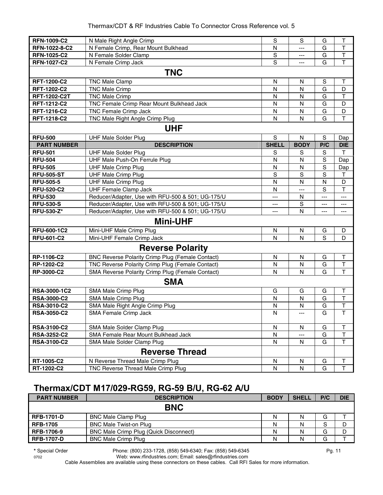| <b>RFN-1009-C2</b>  | N Male Right Angle Crimp                                | S            | S           | G           | T            |  |  |  |  |
|---------------------|---------------------------------------------------------|--------------|-------------|-------------|--------------|--|--|--|--|
| RFN-1022-8-C2       | N Female Crimp, Rear Mount Bulkhead                     | N            | $---$       | G           | T            |  |  |  |  |
| <b>RFN-1025-C2</b>  | N Female Solder Clamp                                   | S            | ---         | G           | T            |  |  |  |  |
| <b>RFN-1027-C2</b>  | N Female Crimp Jack                                     | S            | ---         | G           | $\mathsf T$  |  |  |  |  |
|                     | <b>TNC</b>                                              |              |             |             |              |  |  |  |  |
| <b>RFT-1200-C2</b>  | <b>TNC Male Clamp</b>                                   | N            | N           | S           | $\mathsf{T}$ |  |  |  |  |
| RFT-1202-C2         | <b>TNC Male Crimp</b>                                   | N            | N           | G           | D            |  |  |  |  |
| <b>RFT-1202-C2T</b> | <b>TNC Male Crimp</b>                                   | $\mathsf{N}$ | N           | G           | T            |  |  |  |  |
| RFT-1212-C2         | TNC Female Crimp Rear Mount Bulkhead Jack               | $\mathsf{N}$ | N           | G           | D            |  |  |  |  |
| RFT-1216-C2         | <b>TNC Female Crimp Jack</b>                            | ${\sf N}$    | N           | G           | D            |  |  |  |  |
| RFT-1218-C2         | TNC Male Right Angle Crimp Plug                         | $\mathsf{N}$ | N           | G           | $\mathsf T$  |  |  |  |  |
|                     | <b>UHF</b>                                              |              |             |             |              |  |  |  |  |
| <b>RFU-500</b>      | <b>UHF Male Solder Plug</b>                             | S            | N           | $\mathbf S$ | Dap          |  |  |  |  |
| <b>PART NUMBER</b>  | <b>DESCRIPTION</b>                                      | <b>SHELL</b> | <b>BODY</b> | P/C         | <b>DIE</b>   |  |  |  |  |
| <b>RFU-501</b>      | <b>UHF Male Solder Plug</b>                             | S            | S           | S           | T            |  |  |  |  |
| <b>RFU-504</b>      | UHF Male Push-On Ferrule Plug                           | $\mathsf{N}$ | N           | S           | Dap          |  |  |  |  |
| <b>RFU-505</b>      | <b>UHF Male Crimp Plug</b>                              | ${\sf N}$    | N           | S           | Dap          |  |  |  |  |
| <b>RFU-505-ST</b>   | <b>UHF Male Crimp Plug</b>                              | S            | $\mathsf S$ | S           | Τ            |  |  |  |  |
| <b>RFU-505-5</b>    | <b>UHF Male Crimp Plug</b>                              | N            | N           | N           | D            |  |  |  |  |
| <b>RFU-520-C2</b>   | <b>UHF Female Clamp Jack</b>                            | N            | $---$       | S           | T            |  |  |  |  |
| <b>RFU-530</b>      | Reducer/Adapter, Use with RFU-500 & 501; UG-175/U       | ---          | N           | ---         | ---          |  |  |  |  |
| <b>RFU-530-S</b>    | Reducer/Adapter, Use with RFU-500 & 501; UG-175/U       | ---          | $\mathbf S$ | ---         | ---          |  |  |  |  |
| <b>RFU-530-Z*</b>   | Reducer/Adapter, Use with RFU-500 & 501; UG-175/U       | ---          | N           | ---         | ---          |  |  |  |  |
|                     | <b>Mini-UHF</b>                                         |              |             |             |              |  |  |  |  |
| <b>RFU-600-1C2</b>  | Mini-UHF Male Crimp Plug                                | N            | N           | G           | D            |  |  |  |  |
| <b>RFU-601-C2</b>   | Mini-UHF Female Crimp Jack                              | N            | N           | S           | D            |  |  |  |  |
|                     | <b>Reverse Polarity</b>                                 |              |             |             |              |  |  |  |  |
| RP-1106-C2          | <b>BNC Reverse Polarity Crimp Plug (Female Contact)</b> | N            | N           | G           | T            |  |  |  |  |
| RP-1202-C2          | TNC Reverse Polarity Crimp Plug (Female Contact)        | N            | N           | G           | $\sf T$      |  |  |  |  |
| <b>RP-3000-C2</b>   | SMA Reverse Polarity Crimp Plug (Female Contact)        | N            | N           | G           | $\mathsf{T}$ |  |  |  |  |
|                     | <b>SMA</b>                                              |              |             |             |              |  |  |  |  |
| RSA-3000-1C2        | SMA Male Crimp Plug                                     | G            | G           | G           | $\top$       |  |  |  |  |
| <b>RSA-3000-C2</b>  | SMA Male Crimp Plug                                     | ${\sf N}$    | ${\sf N}$   | G           | T            |  |  |  |  |
| <b>RSA-3010-C2</b>  | SMA Male Right Angle Crimp Plug                         | N            | N           | G           | $\sf T$      |  |  |  |  |
| <b>RSA-3050-C2</b>  | SMA Female Crimp Jack                                   | $\mathsf{N}$ | ---         | G           | $\mathsf T$  |  |  |  |  |
| <b>RSA-3100-C2</b>  | SMA Male Solder Clamp Plug                              | N            | N           | G           | Τ            |  |  |  |  |
| <b>RSA-3252-C2</b>  | SMA Female Rear Mount Bulkhead Jack                     | N            |             | G           | T            |  |  |  |  |
| <b>RSA-3100-C2</b>  | SMA Male Solder Clamp Plug                              | N            | N           | G           | T            |  |  |  |  |
|                     | <b>Reverse Thread</b>                                   |              |             |             |              |  |  |  |  |
| RT-1005-C2          | N Reverse Thread Male Crimp Plug                        | ${\sf N}$    | N           | G           | Т            |  |  |  |  |
| RT-1202-C2          | TNC Reverse Thread Male Crimp Plug                      | ${\sf N}$    | N           | G           | T            |  |  |  |  |

#### **Thermax/CDT M17/029-RG59, RG-59 B/U, RG-62 A/U**

| <b>PART NUMBER</b> | <b>DESCRIPTION</b>                            | <b>BODY</b> | <b>SHELL</b> | P/C | <b>DIE</b> |
|--------------------|-----------------------------------------------|-------------|--------------|-----|------------|
|                    | <b>BNC</b>                                    |             |              |     |            |
| <b>RFB-1701-D</b>  | <b>BNC Male Clamp Plug</b>                    | Ν           |              | G   |            |
| <b>RFB-1705</b>    | <b>BNC Male Twist-on Plug</b>                 | Ν           | N            | S   |            |
| <b>RFB-1706-9</b>  | <b>BNC Male Crimp Plug (Quick Disconnect)</b> | N           |              | G   | D          |
| <b>RFB-1707-D</b>  | <b>BNC Male Crimp Plug</b>                    | Ν           |              | G   |            |

**\*** Special Order Phone: (800) 233-1728, (858) 549-6340; Fax: (858) 549-6345 Pg. 11

0702 Web: www.rfindustries.com; Email: sales@rfindustries.com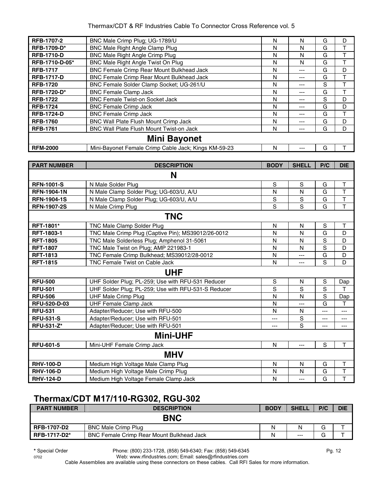| <b>RFB-1707-2</b>  | BNC Male Crimp Plug; UG-1789/U                       | N | N     | G | D |
|--------------------|------------------------------------------------------|---|-------|---|---|
| <b>RFB-1709-D*</b> | <b>BNC Male Right Angle Clamp Plug</b>               | N | N     | G |   |
| <b>RFB-1710-D</b>  | <b>BNC Male Right Angle Crimp Plug</b>               | N | N     | G |   |
| RFB-1710-D-05*     | BNC Male Right Angle Twist On Plug                   | N | N     | G |   |
| <b>RFB-1717</b>    | BNC Female Crimp Rear Mount Bulkhead Jack            | N | ---   | G | D |
| <b>RFB-1717-D</b>  | BNC Female Crimp Rear Mount Bulkhead Jack            | N | ---   | G |   |
| <b>RFB-1720</b>    | BNC Female Solder Clamp Socket; UG-261/U             | N | ---   | S |   |
| <b>RFB-1720-D*</b> | <b>BNC Female Clamp Jack</b>                         | N | ---   | G |   |
| <b>RFB-1722</b>    | <b>BNC Female Twist-on Socket Jack</b>               | N | $---$ | S | D |
| <b>RFB-1724</b>    | <b>BNC Female Crimp Jack</b>                         | N | ---   | G | D |
| <b>RFB-1724-D</b>  | <b>BNC Female Crimp Jack</b>                         | N | $---$ | G |   |
| <b>RFB-1760</b>    | <b>BNC Wall Plate Flush Mount Crimp Jack</b>         | N | ---   | G | D |
| <b>RFB-1761</b>    | <b>BNC Wall Plate Flush Mount Twist-on Jack</b>      | N | ---   | G | D |
|                    | <b>Mini Bayonet</b>                                  |   |       |   |   |
| <b>RFM-2000</b>    | Mini-Bayonet Female Crimp Cable Jack; Kings KM-59-23 | N | ---   | G |   |

| <b>PART NUMBER</b>  | <b>DESCRIPTION</b>                                  | <b>BODY</b>  | <b>SHELL</b> | P/C         | <b>DIE</b>  |
|---------------------|-----------------------------------------------------|--------------|--------------|-------------|-------------|
|                     | N                                                   |              |              |             |             |
| <b>RFN-1001-S</b>   | N Male Solder Plug                                  | S            | S            | G           | $\mathsf T$ |
| <b>RFN-1904-1N</b>  | N Male Clamp Solder Plug; UG-603/U, A/U             | N            | N            | G           | T           |
| <b>RFN-1904-1S</b>  | N Male Clamp Solder Plug; UG-603/U, A/U             | $\mathbf S$  | $\mathsf{s}$ | G           | T           |
| <b>RFN-1907-2S</b>  | N Male Crimp Plug                                   | S            | S            | G           | T           |
|                     | <b>TNC</b>                                          |              |              |             |             |
| RFT-1801*           | <b>TNC Male Clamp Solder Plug</b>                   | N            | N            | S           | Τ           |
| <b>RFT-1803-1</b>   | TNC Male Crimp Plug (Captive Pin); MS39012/26-0012  | N            | N            | G           | D           |
| <b>RFT-1805</b>     | TNC Male Solderless Plug; Amphenol 31-5061          | N            | N            | S           | D           |
| <b>RFT-1807</b>     | TNC Male Twist on Plug; AMP 221983-1                | N            | N            | $\mathbf S$ | D           |
| <b>RFT-1813</b>     | TNC Female Crimp Bulkhead; MS39012/28-0012          | N            | ---          | G           | D           |
| <b>RFT-1815</b>     | TNC Female Twist on Cable Jack                      | N            | ---          | S           | D           |
|                     | <b>UHF</b>                                          |              |              |             |             |
| <b>RFU-500</b>      | UHF Solder Plug; PL-259; Use with RFU-531 Reducer   | S            | N            | S           | Dap         |
| <b>RFU-501</b>      | UHF Solder Plug; PL-259; Use with RFU-531-S Reducer | $\mathbf S$  | S            | $\mathbf S$ | т           |
| <b>RFU-506</b>      | <b>UHF Male Crimp Plug</b>                          | N            | N            | S           | Dap         |
| <b>RFU-520-D-03</b> | <b>UHF Female Clamp Jack</b>                        | N            | ---          | G           | T           |
| <b>RFU-531</b>      | Adapter/Reducer; Use with RFU-500                   | N            | N            | ---         | $---$       |
| <b>RFU-531-S</b>    | Adapter/Reducer; Use with RFU-501                   | ---          | S            | ---         | ---         |
| RFU-531-Z*          | Adapter/Reducer; Use with RFU-501                   | ---          | S            | ---         | $---$       |
|                     | <b>Mini-UHF</b>                                     |              |              |             |             |
| <b>RFU-601-5</b>    | Mini-UHF Female Crimp Jack                          | N            | ---          | $\mathbf S$ | T           |
|                     | <b>MHV</b>                                          |              |              |             |             |
| <b>RHV-100-D</b>    | Medium High Voltage Male Clamp Plug                 | N            | N            | G           | T           |
| <b>RHV-106-D</b>    | Medium High Voltage Male Crimp Plug                 | N            | N            | G           | T           |
| <b>RHV-124-D</b>    | Medium High Voltage Female Clamp Jack               | $\mathsf{N}$ | $---$        | G           | T           |

## **Thermax/CDT M17/110-RG302, RGU-302**

| <b>PART NUMBER</b>  | <b>DESCRIPTION</b>                               | <b>BODY</b> | <b>SHELL</b> | P/C    | <b>DIE</b> |
|---------------------|--------------------------------------------------|-------------|--------------|--------|------------|
|                     | <b>BNC</b>                                       |             |              |        |            |
| <b>RFB-1707-D2</b>  | <b>BNC Male Crimp Plug</b>                       | N           | N            | ⌒<br>G |            |
| <b>RFB-1717-D2*</b> | <b>BNC Female Crimp Rear Mount Bulkhead Jack</b> | N           | $---$        | G      |            |

**\*** Special Order Phone: (800) 233-1728, (858) 549-6340; Fax: (858) 549-6345 Pg. 12

0702 Web: www.rfindustries.com; Email: sales@rfindustries.com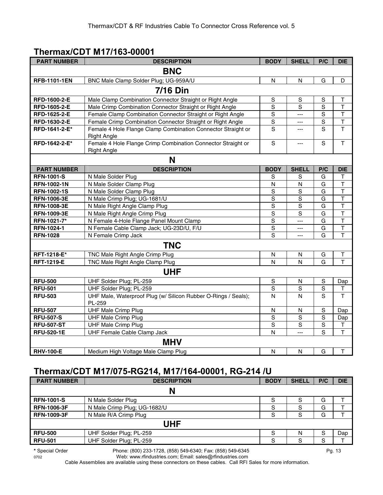#### **Thermax/CDT M17/163-00001**

| <b>PART NUMBER</b>  | <b>DESCRIPTION</b>                                                       | <b>BODY</b>             | <b>SHELL</b>   | P/C            | <b>DIE</b>              |  |  |  |
|---------------------|--------------------------------------------------------------------------|-------------------------|----------------|----------------|-------------------------|--|--|--|
| <b>BNC</b>          |                                                                          |                         |                |                |                         |  |  |  |
| <b>RFB-1101-1EN</b> | BNC Male Clamp Solder Plug; UG-959A/U                                    | N                       | N              | G              | D                       |  |  |  |
| <b>7/16 Din</b>     |                                                                          |                         |                |                |                         |  |  |  |
| RFD-1600-2-E        | Male Clamp Combination Connector Straight or Right Angle                 | ${\mathsf S}$           | ${\sf S}$      | $\mathbb S$    | т                       |  |  |  |
| RFD-1605-2-E        | Male Crimp Combination Connector Straight or Right Angle                 | S                       | S              | $\overline{s}$ | $\mathsf{T}$            |  |  |  |
| RFD-1625-2-E        | Female Clamp Combination Connector Straight or Right Angle               | $\mathbb S$             | $---$          | $\mathbf S$    | $\mathsf T$             |  |  |  |
| RFD-1630-2-E        | Female Crimp Combination Connector Straight or Right Angle               | $\mathbf S$             | $---$          | $\mathbb S$    | $\sf T$                 |  |  |  |
| RFD-1641-2-E*       | Female 4 Hole Flange Clamp Combination Connector Straight or             | $\overline{s}$          | ---            | $\overline{s}$ | $\overline{\mathsf{T}}$ |  |  |  |
|                     | <b>Right Angle</b>                                                       |                         |                |                |                         |  |  |  |
| RFD-1642-2-E*       | Female 4 Hole Flange Crimp Combination Connector Straight or             | S                       | ---            | S              | $\overline{1}$          |  |  |  |
|                     | <b>Right Angle</b>                                                       |                         |                |                |                         |  |  |  |
|                     | N                                                                        |                         |                |                |                         |  |  |  |
| <b>PART NUMBER</b>  | <b>DESCRIPTION</b>                                                       | <b>BODY</b>             | <b>SHELL</b>   | P/C            | <b>DIE</b>              |  |  |  |
| <b>RFN-1001-S</b>   | N Male Solder Plug                                                       | $\mathbb S$             | S              | G              | т                       |  |  |  |
| <b>RFN-1002-1N</b>  | N Male Solder Clamp Plug                                                 | N                       | N              | G              | T                       |  |  |  |
| <b>RFN-1002-1S</b>  | N Male Solder Clamp Plug                                                 | S                       | $\mathbf S$    | G              | $\overline{\mathsf{T}}$ |  |  |  |
| <b>RFN-1006-3E</b>  | N Male Crimp Plug; UG-1681/U                                             | $\mathbf S$             | $\mathbf S$    | G              | $\mathsf T$             |  |  |  |
| <b>RFN-1008-3E</b>  | N Male Right Angle Clamp Plug                                            | $\mathbf S$             | $\mathbf S$    | G              | $\mathsf T$             |  |  |  |
| <b>RFN-1009-3E</b>  | N Male Right Angle Crimp Plug                                            | $\overline{s}$          | S              | G              | $\overline{\mathsf{T}}$ |  |  |  |
| RFN-1021-7*         | N Female 4-Hole Flange Panel Mount Clamp                                 | $\overline{s}$          | ---            | G              | $\overline{\mathsf{T}}$ |  |  |  |
| RFN-1024-1          | N Female Cable Clamp Jack; UG-23D/U, F/U                                 | $\overline{s}$          | ---            | G              | $\overline{\mathsf{T}}$ |  |  |  |
| <b>RFN-1028</b>     | N Female Crimp Jack                                                      | $\overline{s}$          | ---            | G              | $\overline{\mathsf{T}}$ |  |  |  |
|                     | <b>TNC</b>                                                               |                         |                |                |                         |  |  |  |
| RFT-1218-E*         | TNC Male Right Angle Crimp Plug                                          | $\mathsf{N}$            | N              | G              | T                       |  |  |  |
| <b>RFT-1219-E</b>   | TNC Male Right Angle Clamp Plug                                          | N                       | $\mathsf{N}$   | G              | T                       |  |  |  |
|                     | <b>UHF</b>                                                               |                         |                |                |                         |  |  |  |
| <b>RFU-500</b>      | UHF Solder Plug; PL-259                                                  | $\mathbb S$             | ${\sf N}$      | ${\mathsf S}$  | Dap                     |  |  |  |
| <b>RFU-501</b>      | UHF Solder Plug; PL-259                                                  | $\overline{s}$          | $\overline{s}$ | $\overline{s}$ | т                       |  |  |  |
| <b>RFU-503</b>      | UHF Male, Waterproof Plug (w/ Silicon Rubber O-Rings / Seals);<br>PL-259 | $\mathsf{N}$            | N              | S              | $\overline{1}$          |  |  |  |
| <b>RFU-507</b>      | <b>UHF Male Crimp Plug</b>                                               | N                       | N              | S              | Dap                     |  |  |  |
| <b>RFU-507-S</b>    | <b>UHF Male Crimp Plug</b>                                               | $\mathsf S$             | $\mathbf S$    | $\mathbf S$    | Dap                     |  |  |  |
| <b>RFU-507-ST</b>   | <b>UHF Male Crimp Plug</b>                                               | S                       | S              | $\mathbf S$    | Т                       |  |  |  |
| <b>RFU-520-1E</b>   | UHF Female Cable Clamp Jack                                              | N                       | ---            | S              | T                       |  |  |  |
|                     | <b>MHV</b>                                                               |                         |                |                |                         |  |  |  |
| <b>RHV-100-E</b>    | Medium High Voltage Male Clamp Plug                                      | $\overline{\mathsf{N}}$ | N              | G              | $\mathsf T$             |  |  |  |

### **Thermax/CDT M17/075-RG214, M17/164-00001, RG-214 /U**

| <b>PART NUMBER</b> | <b>DESCRIPTION</b>           | <b>BODY</b> | <b>SHELL</b> | P/C | <b>DIE</b> |
|--------------------|------------------------------|-------------|--------------|-----|------------|
|                    | N                            |             |              |     |            |
| <b>RFN-1001-S</b>  | N Male Solder Plug           | S           | S            | G   |            |
| <b>RFN-1006-3F</b> | N Male Crimp Plug; UG-1682/U | S           | S            | G   |            |
| <b>RFN-1009-3F</b> | N Male R/A Crimp Plug        | S           | S            | G   |            |
|                    | <b>UHF</b>                   |             |              |     |            |
| <b>RFU-500</b>     | UHF Solder Plug; PL-259      | S           | N            | S   | Dap        |
| <b>RFU-501</b>     | UHF Solder Plug; PL-259      | S.          | S            | S   |            |

**\*** Special Order Phone: (800) 233-1728, (858) 549-6340; Fax: (858) 549-6345 Pg. 13

0702 Web: www.rfindustries.com; Email: sales@rfindustries.com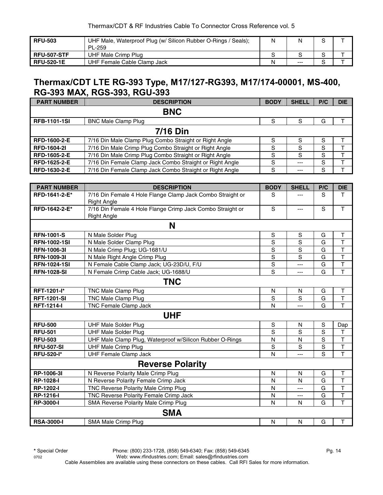| <b>RFU-503</b>     | UHF Male, Waterproof Plug (w/ Silicon Rubber O-Rings / Seals);<br><b>PL-259</b> | Ν | N       |  |
|--------------------|---------------------------------------------------------------------------------|---|---------|--|
| <b>RFU-507-STF</b> | UHF Male Crimp Plug                                                             |   |         |  |
| <b>RFU-520-1E</b>  | UHF Female Cable Clamp Jack                                                     | N | $- - -$ |  |

#### **Thermax/CDT LTE RG-393 Type, M17/127-RG393, M17/174-00001, MS-400, RG-393 MAX, RGS-393, RGU-393**

| <b>PART NUMBER</b>  | <b>DESCRIPTION</b>                                       | <b>BODY</b> | <b>SHELL</b> | P/C | <b>DIE</b> |  |  |  |  |
|---------------------|----------------------------------------------------------|-------------|--------------|-----|------------|--|--|--|--|
|                     | <b>BNC</b>                                               |             |              |     |            |  |  |  |  |
| <b>RFB-1101-1SI</b> | <b>BNC Male Clamp Plug</b>                               | S           | S            | G   |            |  |  |  |  |
|                     | <b>7/16 Din</b>                                          |             |              |     |            |  |  |  |  |
| <b>RFD-1600-2-E</b> | 7/16 Din Male Clamp Plug Combo Straight or Right Angle   | S           | S            | S   |            |  |  |  |  |
| <b>RFD-1604-21</b>  | 7/16 Din Male Crimp Plug Combo Straight or Right Angle   | S           | S            | S   |            |  |  |  |  |
| RFD-1605-2-E        | 7/16 Din Male Crimp Plug Combo Straight or Right Angle   | S           | S            | S   |            |  |  |  |  |
| RFD-1625-2-E        | 7/16 Din Female Clamp Jack Combo Straight or Right Angle | S           | $---$        | S   |            |  |  |  |  |
| <b>RFD-1630-2-E</b> | 7/16 Din Female Clamp Jack Combo Straight or Right Angle | S           | ---          | S   |            |  |  |  |  |

| <b>PART NUMBER</b>  | <b>DESCRIPTION</b>                                                               | <b>BODY</b>    | <b>SHELL</b>   | P/C            | <b>DIE</b>   |
|---------------------|----------------------------------------------------------------------------------|----------------|----------------|----------------|--------------|
| RFD-1641-2-E*       | 7/16 Din Female 4 Hole Flange Clamp Jack Combo Straight or<br><b>Right Angle</b> | S              | ---            | S              | T            |
| RFD-1642-2-E*       | 7/16 Din Female 4 Hole Flange Crimp Jack Combo Straight or<br><b>Right Angle</b> | S              | ---            | S              | T            |
|                     | N                                                                                |                |                |                |              |
| <b>RFN-1001-S</b>   | N Male Solder Plug                                                               | S              | S              | G              | Τ            |
| <b>RFN-1002-1SI</b> | N Male Solder Clamp Plug                                                         | $\overline{s}$ | $\mathsf S$    | G              | T            |
| <b>RFN-1006-3I</b>  | N Male Crimp Plug; UG-1681/U                                                     | S              | S              | G              | T            |
| <b>RFN-1009-31</b>  | N Male Right Angle Crimp Plug                                                    | S              | S              | G              | T            |
| <b>RFN-1024-1SI</b> | N Female Cable Clamp Jack; UG-23D/U, F/U                                         | S              | ---            | G              | T            |
| <b>RFN-1028-SI</b>  | N Female Crimp Cable Jack; UG-1688/U                                             | S              | ---            | G              | T            |
|                     | <b>TNC</b>                                                                       |                |                |                |              |
| RFT-1201-l*         | TNC Male Clamp Plug                                                              | $\mathsf{N}$   | $\mathsf{N}$   | G              | $\mathsf T$  |
| <b>RFT-1201-SI</b>  | TNC Male Clamp Plug                                                              | S              | S              | G              | Ť            |
| <b>RFT-1214-I</b>   | TNC Female Clamp Jack                                                            | N              | ---            | G              | $\mathsf{T}$ |
|                     | <b>UHF</b>                                                                       |                |                |                |              |
| <b>RFU-500</b>      | <b>UHF Male Solder Plug</b>                                                      | S              | N              | $\mathbb S$    | Dap          |
| <b>RFU-501</b>      | <b>UHF Male Solder Plug</b>                                                      | S              | S              | S              | $\mathsf T$  |
| <b>RFU-503</b>      | UHF Male Clamp Plug, Waterproof w/Silicon Rubber O-Rings                         | N              | N              | S              | T            |
| <b>RFU-507-SI</b>   | <b>UHF Male Crimp Plug</b>                                                       | $\mathbf S$    | S              | $\mathbf S$    | T            |
| <b>RFU-520-I*</b>   | <b>UHF Female Clamp Jack</b>                                                     | N              | $\overline{a}$ | $\overline{s}$ | $\mathsf{T}$ |
|                     | <b>Reverse Polarity</b>                                                          |                |                |                |              |
| RP-1006-3I          | N Reverse Polarity Male Crimp Plug                                               | N              | N              | G              | Τ            |
| RP-1028-I           | N Reverse Polarity Female Crimp Jack                                             | N              | $\mathsf{N}$   | G              | $\mathsf T$  |
| RP-1202-I           | TNC Reverse Polarity Male Crimp Plug                                             | N              | ---            | G              | T            |
| <b>RP-1216-I</b>    | TNC Reverse Polarity Female Crimp Jack                                           | N              | ---            | G              | Ť            |
| <b>RP-3000-I</b>    | SMA Reverse Polarity Male Crimp Plug                                             | N              | N              | G              | T            |
|                     | <b>SMA</b>                                                                       |                |                |                |              |
| <b>RSA-3000-I</b>   | SMA Male Crimp Plug                                                              | $\mathsf{N}$   | $\mathsf{N}$   | G              | $\mathsf T$  |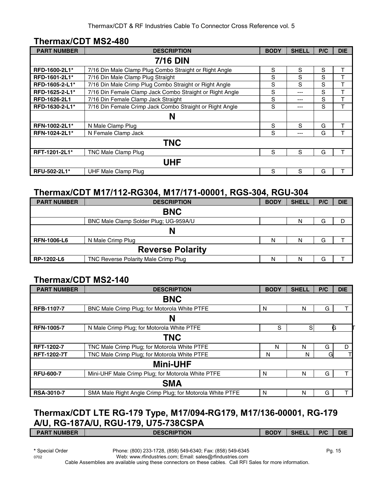#### **Thermax/CDT MS2-480**

| <b>PART NUMBER</b> | <b>DESCRIPTION</b>                                       | <b>BODY</b> | <b>SHELL</b> | P/C | <b>DIE</b> |
|--------------------|----------------------------------------------------------|-------------|--------------|-----|------------|
|                    | <b>7/16 DIN</b>                                          |             |              |     |            |
| RFD-1600-2L1*      | 7/16 Din Male Clamp Plug Combo Straight or Right Angle   | S           | S            | S   | т          |
| RFD-1601-2L1*      | 7/16 Din Male Clamp Plug Straight                        | S           | S            | S   |            |
| RFD-1605-2-L1*     | 7/16 Din Male Crimp Plug Combo Straight or Right Angle   | S           | S            | S   |            |
| RFD-1625-2-L1*     | 7/16 Din Female Clamp Jack Combo Straight or Right Angle | S           | ---          | S   | ᠇          |
| RFD-1626-2L1       | 7/16 Din Female Clamp Jack Straight                      | S           | ---          | S   | т          |
| RFD-1630-2-L1*     | 7/16 Din Female Crimp Jack Combo Straight or Right Angle | S           | ---          | S   |            |
|                    | N                                                        |             |              |     |            |
| RFN-1002-2L1*      | N Male Clamp Plug                                        | S           | S            | G   |            |
| RFN-1024-2L1*      | N Female Clamp Jack                                      | S           | ---          | G   |            |
|                    | <b>TNC</b>                                               |             |              |     |            |
| RFT-1201-2L1*      | TNC Male Clamp Plug                                      | S           | S            | G   |            |
|                    | <b>UHF</b>                                               |             |              |     |            |
| RFU-502-2L1*       | UHF Male Clamp Plug                                      | S           | S            | G   |            |

#### **Thermax/CDT M17/112-RG304, M17/171-00001, RGS-304, RGU-304**

| <b>PART NUMBER</b> | <b>DESCRIPTION</b>                    | <b>BODY</b> | <b>SHELL</b> | P/C | <b>DIE</b> |  |  |  |
|--------------------|---------------------------------------|-------------|--------------|-----|------------|--|--|--|
|                    | <b>BNC</b>                            |             |              |     |            |  |  |  |
|                    | BNC Male Clamp Solder Plug; UG-959A/U |             | N            | G   | D          |  |  |  |
|                    | N                                     |             |              |     |            |  |  |  |
| <b>RFN-1006-L6</b> | N Male Crimp Plug                     | N           | N            | G   |            |  |  |  |
|                    | <b>Reverse Polarity</b>               |             |              |     |            |  |  |  |
| RP-1202-L6         | TNC Reverse Polarity Male Crimp Plug  | N           | N            | G   |            |  |  |  |

#### **Thermax/CDT MS2-140**

| <b>PART NUMBER</b> | <b>DESCRIPTION</b>                                       | <b>BODY</b> | <b>SHELL</b> | P/C | <b>DIE</b> |  |  |
|--------------------|----------------------------------------------------------|-------------|--------------|-----|------------|--|--|
|                    | <b>BNC</b>                                               |             |              |     |            |  |  |
| <b>RFB-1107-7</b>  | BNC Male Crimp Plug; for Motorola White PTFE             | N           | N            | G   |            |  |  |
|                    | Ν                                                        |             |              |     |            |  |  |
| <b>RFN-1005-7</b>  | N Male Crimp Plug; for Motorola White PTFE               | S           | S            |     | G          |  |  |
|                    | <b>TNC</b>                                               |             |              |     |            |  |  |
| <b>RFT-1202-7</b>  | TNC Male Crimp Plug; for Motorola White PTFE             | N           | N            | G   | D          |  |  |
| <b>RFT-1202-7T</b> | TNC Male Crimp Plug; for Motorola White PTFE             | N           | N            | G   |            |  |  |
|                    | <b>Mini-UHF</b>                                          |             |              |     |            |  |  |
| <b>RFU-600-7</b>   | Mini-UHF Male Crimp Plug; for Motorola White PTFE        | N           | N            | G   |            |  |  |
|                    | <b>SMA</b>                                               |             |              |     |            |  |  |
| <b>RSA-3010-7</b>  | SMA Male Right Angle Crimp Plug; for Motorola White PTFE | N           | N            | G   |            |  |  |

## **Thermax/CDT LTE RG-179 Type, M17/094-RG179, M17/136-00001, RG-179 A/U, RG-187A/U, RGU-179, U75-738CSPA**

| <b>PART NUMBER</b> | <b>DESCRIPTION</b> | <b>BODY</b> | <b>SHEL</b> | P/C | <b>DIE</b> |
|--------------------|--------------------|-------------|-------------|-----|------------|
|                    |                    |             |             |     |            |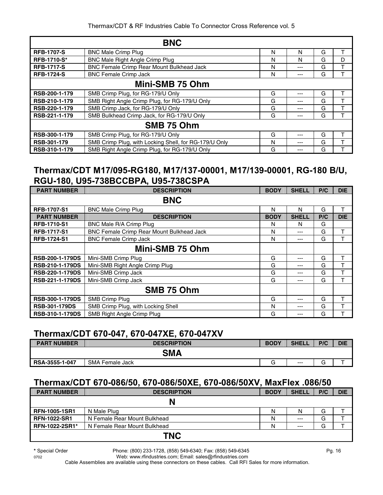|                    | <b>BNC</b>                                            |   |     |   |   |
|--------------------|-------------------------------------------------------|---|-----|---|---|
| <b>RFB-1707-S</b>  | <b>BNC Male Crimp Plug</b>                            | N | N   | G |   |
| <b>RFB-1710-S*</b> | <b>BNC Male Right Angle Crimp Plug</b>                | N | N   | G | D |
| <b>RFB-1717-S</b>  | BNC Female Crimp Rear Mount Bulkhead Jack             | N | --- | G |   |
| <b>RFB-1724-S</b>  | <b>BNC Female Crimp Jack</b>                          | N | --- | G |   |
|                    | Mini-SMB 75 Ohm                                       |   |     |   |   |
| RSB-200-1-179      | SMB Crimp Plug, for RG-179/U Only                     | G | --- | G |   |
| RSB-210-1-179      | SMB Right Angle Crimp Plug, for RG-179/U Only         | G | --- | G |   |
| RSB-220-1-179      | SMB Crimp Jack, for RG-179/U Only                     | G | --- | G |   |
| RSB-221-1-179      | SMB Bulkhead Crimp Jack, for RG-179/U Only            | G | --- | G |   |
|                    | SMB 75 Ohm                                            |   |     |   |   |
| RSB-300-1-179      | SMB Crimp Plug, for RG-179/U Only                     | G | --- | G |   |
| RSB-301-179        | SMB Crimp Plug, with Locking Shell, for RG-179/U Only | N | --- | G |   |
| RSB-310-1-179      | SMB Right Angle Crimp Plug, for RG-179/U Only         | G |     | G |   |

#### **Thermax/CDT M17/095-RG180, M17/137-00001, M17/139-00001, RG-180 B/U, RGU-180, U95-738BCCBPA, U95-738CSPA**

| <b>PART NUMBER</b>     | <b>DESCRIPTION</b>                               | <b>BODY</b> | <b>SHELL</b> | P/C | <b>DIE</b> |
|------------------------|--------------------------------------------------|-------------|--------------|-----|------------|
|                        | <b>BNC</b>                                       |             |              |     |            |
| <b>RFB-1707-S1</b>     | <b>BNC Male Crimp Plug</b>                       | N           | N            | G   | т          |
| <b>PART NUMBER</b>     | <b>DESCRIPTION</b>                               | <b>BODY</b> | <b>SHELL</b> | P/C | <b>DIE</b> |
| <b>RFB-1710-S1</b>     | BNC Male R/A Crimp Plug                          | N           | N            | G   |            |
| <b>RFB-1717-S1</b>     | <b>BNC Female Crimp Rear Mount Bulkhead Jack</b> | N           | ---          | G   | т          |
| <b>RFB-1724-S1</b>     | <b>BNC Female Crimp Jack</b>                     | N           | ---          | G   |            |
|                        | Mini-SMB 75 Ohm                                  |             |              |     |            |
| <b>RSB-200-1-179DS</b> | Mini-SMB Crimp Plug                              | G           | ---          | G   | т          |
| <b>RSB-210-1-179DS</b> | Mini-SMB Right Angle Crimp Plug                  | G           | ---          | G   | т          |
| <b>RSB-220-1-179DS</b> | Mini-SMB Crimp Jack                              | G           | ---          | G   | т          |
| RSB-221-1-179DS        | Mini-SMB Crimp Jack                              | G           | ---          | G   | т          |
|                        | SMB 75 Ohm                                       |             |              |     |            |
| RSB-300-1-179DS        | SMB Crimp Plug                                   | G           | ---          | G   | т          |
| <b>RSB-301-179DS</b>   | SMB Crimp Plug, with Locking Shell               | N           | ---          | G   |            |
| <b>RSB-310-1-179DS</b> | SMB Right Angle Crimp Plug                       | G           | ---          | G   |            |

#### **Thermax/CDT 670-047, 670-047XE, 670-047XV**

| <b>PART NUMBER</b> | <b>DESCRIPTION</b>     | <b>BODY</b> | <b>SHELL</b> | P/C                           | <b>DIE</b> |
|--------------------|------------------------|-------------|--------------|-------------------------------|------------|
|                    | <b>SMA</b>             |             |              |                               |            |
| RSA-3555-1-047     | <b>SMA Female Jack</b> | $\sim$      | ---          | $\overline{\phantom{1}}$<br>G |            |

#### **Thermax/CDT 670-086/50, 670-086/50XE, 670-086/50XV, MaxFlex .086/50**

| <b>PART NUMBER</b>   | <b>DESCRIPTION</b>           | <b>BODY</b> | <b>SHELL</b> | P/C | <b>DIE</b> |
|----------------------|------------------------------|-------------|--------------|-----|------------|
|                      | N                            |             |              |     |            |
| <b>RFN-1005-1SR1</b> | N Male Plug                  | N           | N            | G   |            |
| <b>RFN-1022-SR1</b>  | N Female Rear Mount Bulkhead | Ν           | $---$        | G   |            |
| RFN-1022-2SR1*       | N Female Rear Mount Bulkhead | Ν           | $---$        | G   |            |
|                      | <b>TNC</b>                   |             |              |     |            |

**\*** Special Order Phone: (800) 233-1728, (858) 549-6340; Fax: (858) 549-6345 Pg. 16

0702 Web: www.rfindustries.com; Email: sales@rfindustries.com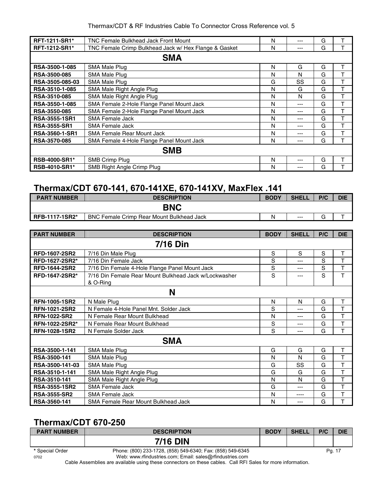| Thermax/CDT & RF Industries Cable To Connector Cross Reference vol. 5 |  |  |  |  |
|-----------------------------------------------------------------------|--|--|--|--|
|                                                                       |  |  |  |  |

| <b>RFT-1211-SR1*</b>  | <b>TNC Female Bulkhead Jack Front Mount</b>           | N | --- | G |   |  |  |
|-----------------------|-------------------------------------------------------|---|-----|---|---|--|--|
| <b>RFT-1212-SR1*</b>  | TNC Female Crimp Bulkhead Jack w/ Hex Flange & Gasket | N | --- | G |   |  |  |
| <b>SMA</b>            |                                                       |   |     |   |   |  |  |
| RSA-3500-1-085        | <b>SMA Male Plug</b>                                  | N | G   | G | т |  |  |
| <b>RSA-3500-085</b>   | <b>SMA Male Plug</b>                                  | N | N   | G |   |  |  |
| RSA-3505-085-03       | SMA Male Plug                                         | G | SS  | G | т |  |  |
| RSA-3510-1-085        | SMA Male Right Angle Plug                             | N | G   | G | T |  |  |
| <b>RSA-3510-085</b>   | SMA Male Right Angle Plug                             | N | N   | G | т |  |  |
| RSA-3550-1-085        | SMA Female 2-Hole Flange Panel Mount Jack             | N | --- | G | т |  |  |
| <b>RSA-3550-085</b>   | SMA Female 2-Hole Flange Panel Mount Jack             | N | --- | G | т |  |  |
| <b>RSA-3555-1SR1</b>  | SMA Female Jack                                       | N | --- | G | т |  |  |
| <b>RSA-3555-SR1</b>   | SMA Female Jack                                       | N | --- | G | т |  |  |
| <b>RSA-3560-1-SR1</b> | <b>SMA Female Rear Mount Jack</b>                     | N | --- | G |   |  |  |
| <b>RSA-3570-085</b>   | SMA Female 4-Hole Flange Panel Mount Jack             | N | --- | G | т |  |  |
| <b>SMB</b>            |                                                       |   |     |   |   |  |  |
| <b>RSB-4000-SR1*</b>  | SMB Crimp Plug                                        | N | --- | G | т |  |  |
| <b>RSB-4010-SR1*</b>  | SMB Right Angle Crimp Plug                            | N |     | G |   |  |  |

## **Thermax/CDT 670-141, 670-141XE, 670-141XV, MaxFlex .141**

| <b>PART NUMBER</b>    | <b>DESCRIPTION</b>                               | <b>BODY</b> | <b>SHELL</b> | P/C    | <b>DIE</b> |
|-----------------------|--------------------------------------------------|-------------|--------------|--------|------------|
| <b>BNC</b>            |                                                  |             |              |        |            |
| <b>RFB-1117-1SR2*</b> | <b>BNC Female Crimp Rear Mount Bulkhead Jack</b> |             | $---$        | $\sim$ |            |

| <b>PART NUMBER</b>   | <b>DESCRIPTION</b>                                                | <b>BODY</b> | <b>SHELL</b> | P/C | <b>DIE</b> |  |  |
|----------------------|-------------------------------------------------------------------|-------------|--------------|-----|------------|--|--|
| <b>7/16 Din</b>      |                                                                   |             |              |     |            |  |  |
| <b>RFD-1607-2SR2</b> | 7/16 Din Male Plug                                                | S           | S            | S   | т          |  |  |
| RFD-1627-2SR2*       | 7/16 Din Female Jack                                              | S           | ---          | S   | T          |  |  |
| <b>RFD-1644-2SR2</b> | 7/16 Din Female 4-Hole Flange Panel Mount Jack                    | S           | $---$        | S   | T          |  |  |
| RFD-1647-2SR2*       | 7/16 Din Female Rear Mount Bulkhead Jack w/Lockwasher<br>& O-Ring | S           |              | S   | T          |  |  |
|                      | N                                                                 |             |              |     |            |  |  |
| RFN-1005-1SR2        | N Male Plug                                                       | N           | N            | G   | Т          |  |  |
| <b>RFN-1021-2SR2</b> | N Female 4-Hole Panel Mnt. Solder Jack                            | S           | ---          | G   | T          |  |  |
| <b>RFN-1022-SR2</b>  | N Female Rear Mount Bulkhead                                      | N           | ---          | G   | T          |  |  |
| RFN-1022-2SR2*       | N Female Rear Mount Bulkhead                                      | S           | ---          | G   | T          |  |  |
| <b>RFN-1028-1SR2</b> | N Female Solder Jack                                              | S           | ---          | G   | T          |  |  |
|                      | <b>SMA</b>                                                        |             |              |     |            |  |  |
| RSA-3500-1-141       | <b>SMA Male Plug</b>                                              | G           | G            | G   | T          |  |  |
| RSA-3500-141         | SMA Male Plug                                                     | N           | N            | G   | T          |  |  |
| RSA-3500-141-03      | SMA Male Plug                                                     | G           | SS           | G   | T          |  |  |
| RSA-3510-1-141       | SMA Male Right Angle Plug                                         | G           | G            | G   | T          |  |  |
| RSA-3510-141         | SMA Male Right Angle Plug                                         | N           | N            | G   | T          |  |  |
| <b>RSA-3555-1SR2</b> | <b>SMA Female Jack</b>                                            | G           | ---          | G   | T          |  |  |
| <b>RSA-3555-SR2</b>  | SMA Female Jack                                                   | N           | ----         | G   | T          |  |  |
| RSA-3560-141         | SMA Female Rear Mount Bulkhead Jack                               | N           | ---          | G   | T          |  |  |

## **Thermax/CDT 670-250**

| <b>PART NUMBER</b> | <b>DESCRIPTION</b>                                         | <b>BODY</b> | <b>SHELL</b> | P/C | <b>DIE</b> |
|--------------------|------------------------------------------------------------|-------------|--------------|-----|------------|
|                    | <b>7/16 DIN</b>                                            |             |              |     |            |
| * Special Order    | Phone: (800) 233-1728, (858) 549-6340; Fax: (858) 549-6345 |             |              |     | Pq. 17     |
| 0702               | Web: www.rfindustries.com; Email: sales@rfindustries.com   |             |              |     |            |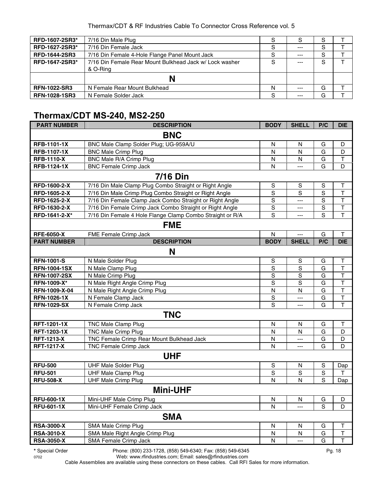| RFD-1607-2SR3*       | 7/16 Din Male Plug                                                  | S | S       | S |  |
|----------------------|---------------------------------------------------------------------|---|---------|---|--|
| RFD-1627-2SR3*       | 7/16 Din Female Jack                                                | S | $- - -$ | S |  |
| <b>RFD-1644-2SR3</b> | 7/16 Din Female 4-Hole Flange Panel Mount Jack                      | S | $- - -$ | S |  |
| RFD-1647-2SR3*       | 7/16 Din Female Rear Mount Bulkhead Jack w/ Lock washer<br>& O-Ring | S | $---$   | S |  |
|                      |                                                                     |   |         |   |  |
| <b>RFN-1022-SR3</b>  | N Female Rear Mount Bulkhead                                        | N | $- - -$ | G |  |
| <b>RFN-1028-1SR3</b> | N Female Solder Jack                                                | S | $---$   | G |  |

#### **Thermax/CDT MS-240, MS2-250**

| <b>PART NUMBER</b>  | <b>DESCRIPTION</b>                                        | <b>BODY</b>    | <b>SHELL</b>            | P/C         | <b>DIE</b>              |  |  |  |  |
|---------------------|-----------------------------------------------------------|----------------|-------------------------|-------------|-------------------------|--|--|--|--|
| <b>BNC</b>          |                                                           |                |                         |             |                         |  |  |  |  |
| <b>RFB-1101-1X</b>  | BNC Male Clamp Solder Plug; UG-959A/U                     | N              | N                       | G           | D                       |  |  |  |  |
| <b>RFB-1107-1X</b>  | <b>BNC Male Crimp Plug</b>                                | Ν              | N                       | G           | D                       |  |  |  |  |
| <b>RFB-1110-X</b>   | <b>BNC Male R/A Crimp Plug</b>                            | N              | N                       | G           | $\top$                  |  |  |  |  |
| <b>RFB-1124-1X</b>  | <b>BNC Female Crimp Jack</b>                              | N              | $\overline{a}$          | G           | D                       |  |  |  |  |
|                     | <b>7/16 Din</b>                                           |                |                         |             |                         |  |  |  |  |
| RFD-1600-2-X        | 7/16 Din Male Clamp Plug Combo Straight or Right Angle    | $\mathbf S$    | S                       | $\mathbb S$ | T                       |  |  |  |  |
| RFD-1605-2-X        | 7/16 Din Male Crimp Plug Combo Straight or Right Angle    | S              | $\overline{s}$          | S           | T                       |  |  |  |  |
| RFD-1625-2-X        | 7/16 Din Female Clamp Jack Combo Straight or Right Angle  | ${\mathsf S}$  | $\overline{a}$          | $\mathbf S$ | $\mathsf T$             |  |  |  |  |
| RFD-1630-2-X        | 7/16 Din Female Crimp Jack Combo Straight or Right Angle  | $\mathbf S$    | $\overline{a}$          | $\mathbf S$ | $\mathsf T$             |  |  |  |  |
| RFD-1641-2-X*       | 7/16 Din Female 4 Hole Flange Clamp Combo Straight or R/A | $\overline{s}$ | $-$ --                  | S           | T                       |  |  |  |  |
|                     | <b>FME</b>                                                |                |                         |             |                         |  |  |  |  |
| <b>RFE-6050-X</b>   | FME Female Crimp Jack                                     | N              | $---$                   | G           | Τ                       |  |  |  |  |
| <b>PART NUMBER</b>  | <b>DESCRIPTION</b>                                        | <b>BODY</b>    | <b>SHELL</b>            | P/C         | <b>DIE</b>              |  |  |  |  |
|                     | N                                                         |                |                         |             |                         |  |  |  |  |
| <b>RFN-1001-S</b>   | N Male Solder Plug                                        | $\mathbb S$    | $\mathbb S$             | G           | $\mathsf{T}$            |  |  |  |  |
| <b>RFN-1004-1SX</b> | N Male Clamp Plug                                         | $\mathbf S$    | S                       | G           | $\mathsf T$             |  |  |  |  |
| <b>RFN-1007-2SX</b> | N Male Crimp Plug                                         | S              | S                       | G           | $\mathsf T$             |  |  |  |  |
| <b>RFN-1009-X*</b>  | N Male Right Angle Crimp Plug                             | S              | S                       | G           | $\mathsf T$             |  |  |  |  |
| RFN-1009-X-04       | N Male Right Angle Crimp Plug                             | N              | N                       | G           | $\mathsf T$             |  |  |  |  |
| <b>RFN-1026-1X</b>  | N Female Clamp Jack                                       | $\mathbf S$    | $\overline{a}$          | G           | $\mathsf T$             |  |  |  |  |
| <b>RFN-1029-SX</b>  | N Female Crimp Jack                                       | $\overline{s}$ | $-$ --                  | G           | $\overline{\mathsf{T}}$ |  |  |  |  |
|                     | <b>TNC</b>                                                |                |                         |             |                         |  |  |  |  |
| RFT-1201-1X         | <b>TNC Male Clamp Plug</b>                                | Ν              | N                       | G           | Τ                       |  |  |  |  |
| RFT-1203-1X         | <b>TNC Male Crimp Plug</b>                                | N              | N                       | G           | D                       |  |  |  |  |
| <b>RFT-1213-X</b>   | TNC Female Crimp Rear Mount Bulkhead Jack                 | N              | $\overline{a}$          | G           | D                       |  |  |  |  |
| <b>RFT-1217-X</b>   | <b>TNC Female Crimp Jack</b>                              | N              | $---$                   | G           | D                       |  |  |  |  |
|                     | <b>UHF</b>                                                |                |                         |             |                         |  |  |  |  |
| <b>RFU-500</b>      | <b>UHF Male Solder Plug</b>                               | $\mathbf S$    | N                       | $\mathbf S$ | Dap                     |  |  |  |  |
| <b>RFU-501</b>      | <b>UHF Male Clamp Plug</b>                                | $\mathbf S$    | $\mathsf S$             | $\mathbf S$ | T                       |  |  |  |  |
| <b>RFU-508-X</b>    | <b>UHF Male Crimp Plug</b>                                | N              | N                       | S           | Dap                     |  |  |  |  |
| <b>Mini-UHF</b>     |                                                           |                |                         |             |                         |  |  |  |  |
| <b>RFU-600-1X</b>   | Mini-UHF Male Crimp Plug                                  | N              | N                       | G           | D                       |  |  |  |  |
| <b>RFU-601-1X</b>   | Mini-UHF Female Crimp Jack                                | N              | $---$                   | S           | D                       |  |  |  |  |
|                     | <b>SMA</b>                                                |                |                         |             |                         |  |  |  |  |
| <b>RSA-3000-X</b>   | SMA Male Crimp Plug                                       | N              | N                       | G           | $\mathsf T$             |  |  |  |  |
| <b>RSA-3010-X</b>   | SMA Male Right Angle Crimp Plug                           | N              | $\overline{\mathsf{N}}$ | G           | $\overline{\mathsf{T}}$ |  |  |  |  |
| <b>RSA-3050-X</b>   | SMA Female Crimp Jack                                     | N              | $\overline{a}$          | G           | T                       |  |  |  |  |

**\*** Special Order Phone: (800) 233-1728, (858) 549-6340; Fax: (858) 549-6345 Pg. 18

0702 Web: www.rfindustries.com; Email: sales@rfindustries.com Cable Assemblies are available using these connectors on these cables. Call RFI Sales for more information.